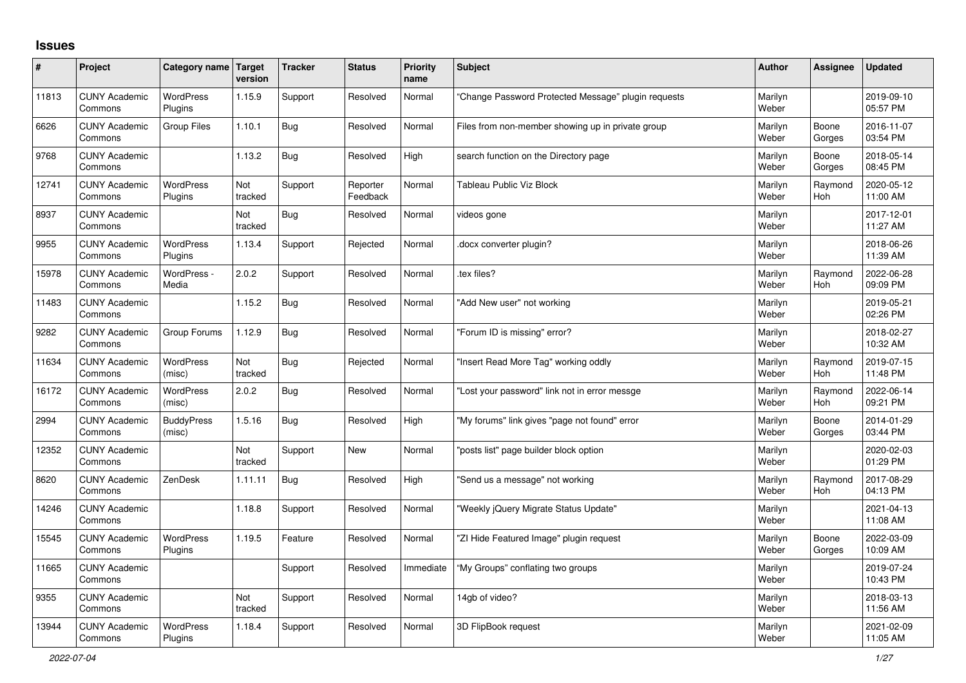## **Issues**

| #     | Project                         | Category name Target        | version        | <b>Tracker</b> | <b>Status</b>        | Priority<br>name | <b>Subject</b>                                      | <b>Author</b>    | Assignee              | <b>Updated</b>         |
|-------|---------------------------------|-----------------------------|----------------|----------------|----------------------|------------------|-----------------------------------------------------|------------------|-----------------------|------------------------|
| 11813 | <b>CUNY Academic</b><br>Commons | <b>WordPress</b><br>Plugins | 1.15.9         | Support        | Resolved             | Normal           | 'Change Password Protected Message" plugin requests | Marilyn<br>Weber |                       | 2019-09-10<br>05:57 PM |
| 6626  | <b>CUNY Academic</b><br>Commons | <b>Group Files</b>          | 1.10.1         | Bug            | Resolved             | Normal           | Files from non-member showing up in private group   | Marilyn<br>Weber | Boone<br>Gorges       | 2016-11-07<br>03:54 PM |
| 9768  | <b>CUNY Academic</b><br>Commons |                             | 1.13.2         | <b>Bug</b>     | Resolved             | High             | search function on the Directory page               | Marilyn<br>Weber | Boone<br>Gorges       | 2018-05-14<br>08:45 PM |
| 12741 | <b>CUNY Academic</b><br>Commons | <b>WordPress</b><br>Plugins | Not<br>tracked | Support        | Reporter<br>Feedback | Normal           | Tableau Public Viz Block                            | Marilyn<br>Weber | Raymond<br><b>Hoh</b> | 2020-05-12<br>11:00 AM |
| 8937  | <b>CUNY Academic</b><br>Commons |                             | Not<br>tracked | Bug            | Resolved             | Normal           | videos gone                                         | Marilyn<br>Weber |                       | 2017-12-01<br>11:27 AM |
| 9955  | <b>CUNY Academic</b><br>Commons | WordPress<br>Plugins        | 1.13.4         | Support        | Rejected             | Normal           | docx converter plugin?                              | Marilyn<br>Weber |                       | 2018-06-26<br>11:39 AM |
| 15978 | <b>CUNY Academic</b><br>Commons | WordPress -<br>Media        | 2.0.2          | Support        | Resolved             | Normal           | tex files?                                          | Marilyn<br>Weber | Raymond<br>Hoh        | 2022-06-28<br>09:09 PM |
| 11483 | <b>CUNY Academic</b><br>Commons |                             | 1.15.2         | Bug            | Resolved             | Normal           | 'Add New user" not working                          | Marilyn<br>Weber |                       | 2019-05-21<br>02:26 PM |
| 9282  | <b>CUNY Academic</b><br>Commons | Group Forums                | 1.12.9         | <b>Bug</b>     | Resolved             | Normal           | "Forum ID is missing" error?                        | Marilyn<br>Weber |                       | 2018-02-27<br>10:32 AM |
| 11634 | <b>CUNY Academic</b><br>Commons | <b>WordPress</b><br>(misc)  | Not<br>tracked | Bug            | Rejected             | Normal           | 'Insert Read More Tag" working oddly                | Marilyn<br>Weber | Raymond<br>Hoh        | 2019-07-15<br>11:48 PM |
| 16172 | <b>CUNY Academic</b><br>Commons | <b>WordPress</b><br>(misc)  | 2.0.2          | Bug            | Resolved             | Normal           | 'Lost your password" link not in error messge       | Marilyn<br>Weber | Raymond<br><b>Hoh</b> | 2022-06-14<br>09:21 PM |
| 2994  | <b>CUNY Academic</b><br>Commons | <b>BuddyPress</b><br>(misc) | 1.5.16         | Bug            | Resolved             | High             | "My forums" link gives "page not found" error       | Marilyn<br>Weber | Boone<br>Gorges       | 2014-01-29<br>03:44 PM |
| 12352 | <b>CUNY Academic</b><br>Commons |                             | Not<br>tracked | Support        | <b>New</b>           | Normal           | posts list" page builder block option               | Marilyn<br>Weber |                       | 2020-02-03<br>01:29 PM |
| 8620  | <b>CUNY Academic</b><br>Commons | ZenDesk                     | 1.11.11        | Bug            | Resolved             | High             | 'Send us a message" not working                     | Marilyn<br>Weber | Raymond<br>Hoh        | 2017-08-29<br>04:13 PM |
| 14246 | <b>CUNY Academic</b><br>Commons |                             | 1.18.8         | Support        | Resolved             | Normal           | "Weekly jQuery Migrate Status Update"               | Marilyn<br>Weber |                       | 2021-04-13<br>11:08 AM |
| 15545 | <b>CUNY Academic</b><br>Commons | WordPress<br>Plugins        | 1.19.5         | Feature        | Resolved             | Normal           | 'ZI Hide Featured Image" plugin request             | Marilyn<br>Weber | Boone<br>Gorges       | 2022-03-09<br>10:09 AM |
| 11665 | <b>CUNY Academic</b><br>Commons |                             |                | Support        | Resolved             | Immediate        | "My Groups" conflating two groups                   | Marilyn<br>Weber |                       | 2019-07-24<br>10:43 PM |
| 9355  | <b>CUNY Academic</b><br>Commons |                             | Not<br>tracked | Support        | Resolved             | Normal           | 14gb of video?                                      | Marilyn<br>Weber |                       | 2018-03-13<br>11:56 AM |
| 13944 | <b>CUNY Academic</b><br>Commons | <b>WordPress</b><br>Plugins | 1.18.4         | Support        | Resolved             | Normal           | 3D FlipBook request                                 | Marilyn<br>Weber |                       | 2021-02-09<br>11:05 AM |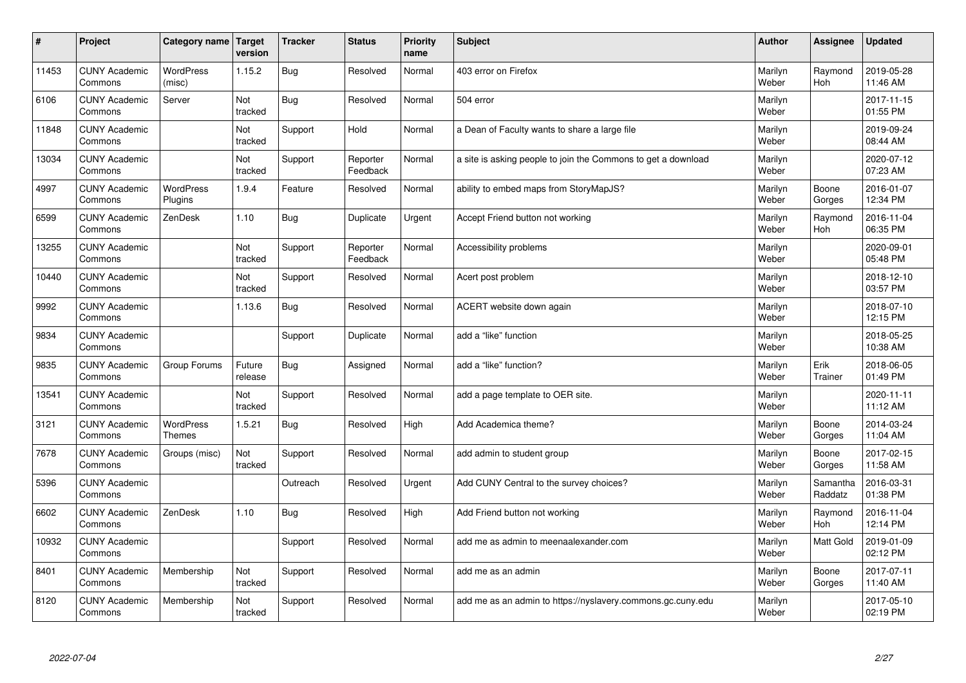| #     | Project                         | Category name   Target            | version           | <b>Tracker</b> | <b>Status</b>        | Priority<br>name | <b>Subject</b>                                                | <b>Author</b>    | <b>Assignee</b>     | <b>Updated</b>         |
|-------|---------------------------------|-----------------------------------|-------------------|----------------|----------------------|------------------|---------------------------------------------------------------|------------------|---------------------|------------------------|
| 11453 | <b>CUNY Academic</b><br>Commons | <b>WordPress</b><br>(misc)        | 1.15.2            | Bug            | Resolved             | Normal           | 403 error on Firefox                                          | Marilyn<br>Weber | Raymond<br>Hoh      | 2019-05-28<br>11:46 AM |
| 6106  | <b>CUNY Academic</b><br>Commons | Server                            | Not<br>tracked    | Bug            | Resolved             | Normal           | 504 error                                                     | Marilyn<br>Weber |                     | 2017-11-15<br>01:55 PM |
| 11848 | <b>CUNY Academic</b><br>Commons |                                   | Not<br>tracked    | Support        | Hold                 | Normal           | a Dean of Faculty wants to share a large file                 | Marilyn<br>Weber |                     | 2019-09-24<br>08:44 AM |
| 13034 | <b>CUNY Academic</b><br>Commons |                                   | Not<br>tracked    | Support        | Reporter<br>Feedback | Normal           | a site is asking people to join the Commons to get a download | Marilyn<br>Weber |                     | 2020-07-12<br>07:23 AM |
| 4997  | <b>CUNY Academic</b><br>Commons | <b>WordPress</b><br>Plugins       | 1.9.4             | Feature        | Resolved             | Normal           | ability to embed maps from StoryMapJS?                        | Marilyn<br>Weber | Boone<br>Gorges     | 2016-01-07<br>12:34 PM |
| 6599  | <b>CUNY Academic</b><br>Commons | ZenDesk                           | 1.10              | Bug            | Duplicate            | Urgent           | Accept Friend button not working                              | Marilyn<br>Weber | Raymond<br>Hoh      | 2016-11-04<br>06:35 PM |
| 13255 | <b>CUNY Academic</b><br>Commons |                                   | Not<br>tracked    | Support        | Reporter<br>Feedback | Normal           | Accessibility problems                                        | Marilyn<br>Weber |                     | 2020-09-01<br>05:48 PM |
| 10440 | <b>CUNY Academic</b><br>Commons |                                   | Not<br>tracked    | Support        | Resolved             | Normal           | Acert post problem                                            | Marilyn<br>Weber |                     | 2018-12-10<br>03:57 PM |
| 9992  | <b>CUNY Academic</b><br>Commons |                                   | 1.13.6            | Bug            | Resolved             | Normal           | ACERT website down again                                      | Marilyn<br>Weber |                     | 2018-07-10<br>12:15 PM |
| 9834  | <b>CUNY Academic</b><br>Commons |                                   |                   | Support        | Duplicate            | Normal           | add a "like" function                                         | Marilyn<br>Weber |                     | 2018-05-25<br>10:38 AM |
| 9835  | <b>CUNY Academic</b><br>Commons | Group Forums                      | Future<br>release | <b>Bug</b>     | Assigned             | Normal           | add a "like" function?                                        | Marilyn<br>Weber | Erik<br>Trainer     | 2018-06-05<br>01:49 PM |
| 13541 | <b>CUNY Academic</b><br>Commons |                                   | Not<br>tracked    | Support        | Resolved             | Normal           | add a page template to OER site.                              | Marilyn<br>Weber |                     | 2020-11-11<br>11:12 AM |
| 3121  | <b>CUNY Academic</b><br>Commons | <b>WordPress</b><br><b>Themes</b> | 1.5.21            | Bug            | Resolved             | High             | Add Academica theme?                                          | Marilyn<br>Weber | Boone<br>Gorges     | 2014-03-24<br>11:04 AM |
| 7678  | <b>CUNY Academic</b><br>Commons | Groups (misc)                     | Not<br>tracked    | Support        | Resolved             | Normal           | add admin to student group                                    | Marilyn<br>Weber | Boone<br>Gorges     | 2017-02-15<br>11:58 AM |
| 5396  | <b>CUNY Academic</b><br>Commons |                                   |                   | Outreach       | Resolved             | Urgent           | Add CUNY Central to the survey choices?                       | Marilyn<br>Weber | Samantha<br>Raddatz | 2016-03-31<br>01:38 PM |
| 6602  | <b>CUNY Academic</b><br>Commons | ZenDesk                           | 1.10              | Bug            | Resolved             | High             | Add Friend button not working                                 | Marilyn<br>Weber | Raymond<br>Hoh      | 2016-11-04<br>12:14 PM |
| 10932 | <b>CUNY Academic</b><br>Commons |                                   |                   | Support        | Resolved             | Normal           | add me as admin to meenaalexander.com                         | Marilyn<br>Weber | Matt Gold           | 2019-01-09<br>02:12 PM |
| 8401  | <b>CUNY Academic</b><br>Commons | Membership                        | Not<br>tracked    | Support        | Resolved             | Normal           | add me as an admin                                            | Marilyn<br>Weber | Boone<br>Gorges     | 2017-07-11<br>11:40 AM |
| 8120  | <b>CUNY Academic</b><br>Commons | Membership                        | Not<br>tracked    | Support        | Resolved             | Normal           | add me as an admin to https://nyslavery.commons.gc.cuny.edu   | Marilyn<br>Weber |                     | 2017-05-10<br>02:19 PM |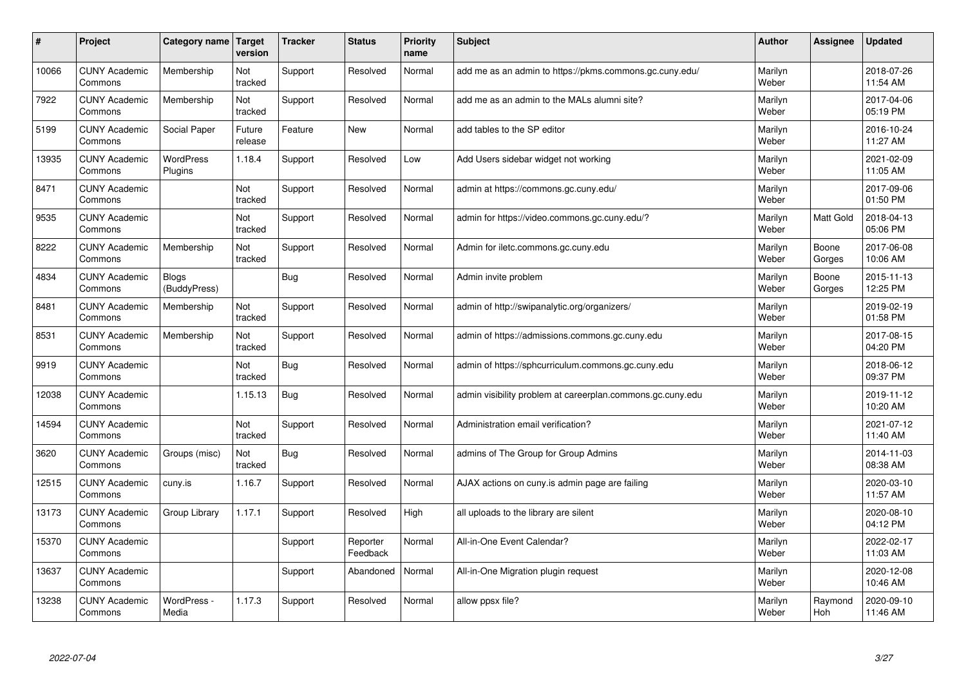| #     | Project                         | Category name                | <b>Target</b><br>version | <b>Tracker</b> | <b>Status</b>        | <b>Priority</b><br>name | <b>Subject</b>                                             | <b>Author</b>    | Assignee        | <b>Updated</b>         |
|-------|---------------------------------|------------------------------|--------------------------|----------------|----------------------|-------------------------|------------------------------------------------------------|------------------|-----------------|------------------------|
| 10066 | <b>CUNY Academic</b><br>Commons | Membership                   | Not<br>tracked           | Support        | Resolved             | Normal                  | add me as an admin to https://pkms.commons.gc.cuny.edu/    | Marilyn<br>Weber |                 | 2018-07-26<br>11:54 AM |
| 7922  | <b>CUNY Academic</b><br>Commons | Membership                   | Not<br>tracked           | Support        | Resolved             | Normal                  | add me as an admin to the MALs alumni site?                | Marilyn<br>Weber |                 | 2017-04-06<br>05:19 PM |
| 5199  | <b>CUNY Academic</b><br>Commons | Social Paper                 | Future<br>release        | Feature        | New                  | Normal                  | add tables to the SP editor                                | Marilyn<br>Weber |                 | 2016-10-24<br>11:27 AM |
| 13935 | <b>CUNY Academic</b><br>Commons | <b>WordPress</b><br>Plugins  | 1.18.4                   | Support        | Resolved             | Low                     | Add Users sidebar widget not working                       | Marilyn<br>Weber |                 | 2021-02-09<br>11:05 AM |
| 8471  | <b>CUNY Academic</b><br>Commons |                              | Not<br>tracked           | Support        | Resolved             | Normal                  | admin at https://commons.gc.cuny.edu/                      | Marilyn<br>Weber |                 | 2017-09-06<br>01:50 PM |
| 9535  | <b>CUNY Academic</b><br>Commons |                              | Not<br>tracked           | Support        | Resolved             | Normal                  | admin for https://video.commons.gc.cuny.edu/?              | Marilyn<br>Weber | Matt Gold       | 2018-04-13<br>05:06 PM |
| 8222  | <b>CUNY Academic</b><br>Commons | Membership                   | Not<br>tracked           | Support        | Resolved             | Normal                  | Admin for iletc.commons.gc.cuny.edu                        | Marilyn<br>Weber | Boone<br>Gorges | 2017-06-08<br>10:06 AM |
| 4834  | <b>CUNY Academic</b><br>Commons | <b>Blogs</b><br>(BuddyPress) |                          | <b>Bug</b>     | Resolved             | Normal                  | Admin invite problem                                       | Marilyn<br>Weber | Boone<br>Gorges | 2015-11-13<br>12:25 PM |
| 8481  | <b>CUNY Academic</b><br>Commons | Membership                   | Not<br>tracked           | Support        | Resolved             | Normal                  | admin of http://swipanalytic.org/organizers/               | Marilyn<br>Weber |                 | 2019-02-19<br>01:58 PM |
| 8531  | <b>CUNY Academic</b><br>Commons | Membership                   | Not<br>tracked           | Support        | Resolved             | Normal                  | admin of https://admissions.commons.gc.cuny.edu            | Marilyn<br>Weber |                 | 2017-08-15<br>04:20 PM |
| 9919  | <b>CUNY Academic</b><br>Commons |                              | Not<br>tracked           | <b>Bug</b>     | Resolved             | Normal                  | admin of https://sphcurriculum.commons.gc.cuny.edu         | Marilyn<br>Weber |                 | 2018-06-12<br>09:37 PM |
| 12038 | <b>CUNY Academic</b><br>Commons |                              | 1.15.13                  | Bug            | Resolved             | Normal                  | admin visibility problem at careerplan.commons.gc.cuny.edu | Marilyn<br>Weber |                 | 2019-11-12<br>10:20 AM |
| 14594 | <b>CUNY Academic</b><br>Commons |                              | Not<br>tracked           | Support        | Resolved             | Normal                  | Administration email verification?                         | Marilyn<br>Weber |                 | 2021-07-12<br>11:40 AM |
| 3620  | <b>CUNY Academic</b><br>Commons | Groups (misc)                | Not<br>tracked           | <b>Bug</b>     | Resolved             | Normal                  | admins of The Group for Group Admins                       | Marilyn<br>Weber |                 | 2014-11-03<br>08:38 AM |
| 12515 | <b>CUNY Academic</b><br>Commons | cuny.is                      | 1.16.7                   | Support        | Resolved             | Normal                  | AJAX actions on cuny.is admin page are failing             | Marilyn<br>Weber |                 | 2020-03-10<br>11:57 AM |
| 13173 | <b>CUNY Academic</b><br>Commons | Group Library                | 1.17.1                   | Support        | Resolved             | High                    | all uploads to the library are silent                      | Marilyn<br>Weber |                 | 2020-08-10<br>04:12 PM |
| 15370 | <b>CUNY Academic</b><br>Commons |                              |                          | Support        | Reporter<br>Feedback | Normal                  | All-in-One Event Calendar?                                 | Marilyn<br>Weber |                 | 2022-02-17<br>11:03 AM |
| 13637 | <b>CUNY Academic</b><br>Commons |                              |                          | Support        | Abandoned            | Normal                  | All-in-One Migration plugin request                        | Marilyn<br>Weber |                 | 2020-12-08<br>10:46 AM |
| 13238 | <b>CUNY Academic</b><br>Commons | WordPress -<br>Media         | 1.17.3                   | Support        | Resolved             | Normal                  | allow ppsx file?                                           | Marilyn<br>Weber | Raymond<br>Hoh  | 2020-09-10<br>11:46 AM |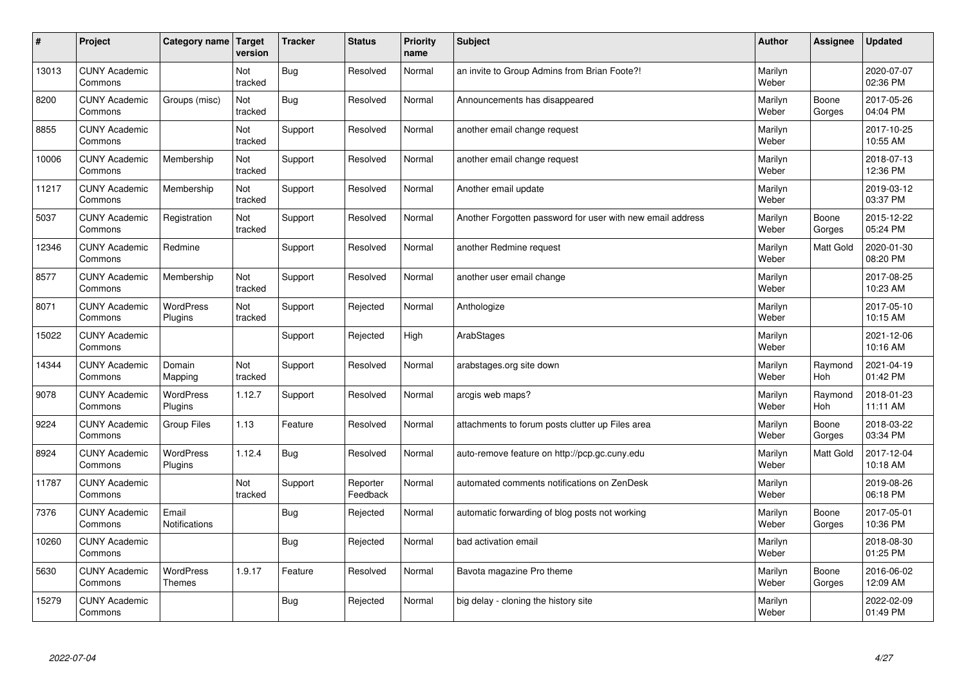| $\sharp$ | Project                         | Category name                     | <b>Target</b><br>version | <b>Tracker</b> | <b>Status</b>        | <b>Priority</b><br>name | <b>Subject</b>                                             | <b>Author</b>    | Assignee              | Updated                |
|----------|---------------------------------|-----------------------------------|--------------------------|----------------|----------------------|-------------------------|------------------------------------------------------------|------------------|-----------------------|------------------------|
| 13013    | <b>CUNY Academic</b><br>Commons |                                   | Not<br>tracked           | Bug            | Resolved             | Normal                  | an invite to Group Admins from Brian Foote?!               | Marilyn<br>Weber |                       | 2020-07-07<br>02:36 PM |
| 8200     | <b>CUNY Academic</b><br>Commons | Groups (misc)                     | Not<br>tracked           | Bug            | Resolved             | Normal                  | Announcements has disappeared                              | Marilyn<br>Weber | Boone<br>Gorges       | 2017-05-26<br>04:04 PM |
| 8855     | <b>CUNY Academic</b><br>Commons |                                   | Not<br>tracked           | Support        | Resolved             | Normal                  | another email change request                               | Marilyn<br>Weber |                       | 2017-10-25<br>10:55 AM |
| 10006    | <b>CUNY Academic</b><br>Commons | Membership                        | Not<br>tracked           | Support        | Resolved             | Normal                  | another email change request                               | Marilyn<br>Weber |                       | 2018-07-13<br>12:36 PM |
| 11217    | <b>CUNY Academic</b><br>Commons | Membership                        | Not<br>tracked           | Support        | Resolved             | Normal                  | Another email update                                       | Marilyn<br>Weber |                       | 2019-03-12<br>03:37 PM |
| 5037     | <b>CUNY Academic</b><br>Commons | Registration                      | Not<br>tracked           | Support        | Resolved             | Normal                  | Another Forgotten password for user with new email address | Marilyn<br>Weber | Boone<br>Gorges       | 2015-12-22<br>05:24 PM |
| 12346    | <b>CUNY Academic</b><br>Commons | Redmine                           |                          | Support        | Resolved             | Normal                  | another Redmine request                                    | Marilyn<br>Weber | Matt Gold             | 2020-01-30<br>08:20 PM |
| 8577     | <b>CUNY Academic</b><br>Commons | Membership                        | Not<br>tracked           | Support        | Resolved             | Normal                  | another user email change                                  | Marilyn<br>Weber |                       | 2017-08-25<br>10:23 AM |
| 8071     | <b>CUNY Academic</b><br>Commons | WordPress<br>Plugins              | Not<br>tracked           | Support        | Rejected             | Normal                  | Anthologize                                                | Marilyn<br>Weber |                       | 2017-05-10<br>10:15 AM |
| 15022    | <b>CUNY Academic</b><br>Commons |                                   |                          | Support        | Rejected             | High                    | ArabStages                                                 | Marilyn<br>Weber |                       | 2021-12-06<br>10:16 AM |
| 14344    | <b>CUNY Academic</b><br>Commons | Domain<br>Mapping                 | Not<br>tracked           | Support        | Resolved             | Normal                  | arabstages.org site down                                   | Marilyn<br>Weber | Raymond<br><b>Hoh</b> | 2021-04-19<br>01:42 PM |
| 9078     | <b>CUNY Academic</b><br>Commons | <b>WordPress</b><br>Plugins       | 1.12.7                   | Support        | Resolved             | Normal                  | arcgis web maps?                                           | Marilyn<br>Weber | Raymond<br><b>Hoh</b> | 2018-01-23<br>11:11 AM |
| 9224     | <b>CUNY Academic</b><br>Commons | <b>Group Files</b>                | 1.13                     | Feature        | Resolved             | Normal                  | attachments to forum posts clutter up Files area           | Marilyn<br>Weber | Boone<br>Gorges       | 2018-03-22<br>03:34 PM |
| 8924     | <b>CUNY Academic</b><br>Commons | <b>WordPress</b><br>Plugins       | 1.12.4                   | <b>Bug</b>     | Resolved             | Normal                  | auto-remove feature on http://pcp.gc.cuny.edu              | Marilyn<br>Weber | <b>Matt Gold</b>      | 2017-12-04<br>10:18 AM |
| 11787    | <b>CUNY Academic</b><br>Commons |                                   | Not<br>tracked           | Support        | Reporter<br>Feedback | Normal                  | automated comments notifications on ZenDesk                | Marilyn<br>Weber |                       | 2019-08-26<br>06:18 PM |
| 7376     | <b>CUNY Academic</b><br>Commons | Email<br>Notifications            |                          | Bug            | Rejected             | Normal                  | automatic forwarding of blog posts not working             | Marilyn<br>Weber | Boone<br>Gorges       | 2017-05-01<br>10:36 PM |
| 10260    | <b>CUNY Academic</b><br>Commons |                                   |                          | <b>Bug</b>     | Rejected             | Normal                  | bad activation email                                       | Marilyn<br>Weber |                       | 2018-08-30<br>01:25 PM |
| 5630     | <b>CUNY Academic</b><br>Commons | <b>WordPress</b><br><b>Themes</b> | 1.9.17                   | Feature        | Resolved             | Normal                  | Bavota magazine Pro theme                                  | Marilyn<br>Weber | Boone<br>Gorges       | 2016-06-02<br>12:09 AM |
| 15279    | <b>CUNY Academic</b><br>Commons |                                   |                          | Bug            | Rejected             | Normal                  | big delay - cloning the history site                       | Marilyn<br>Weber |                       | 2022-02-09<br>01:49 PM |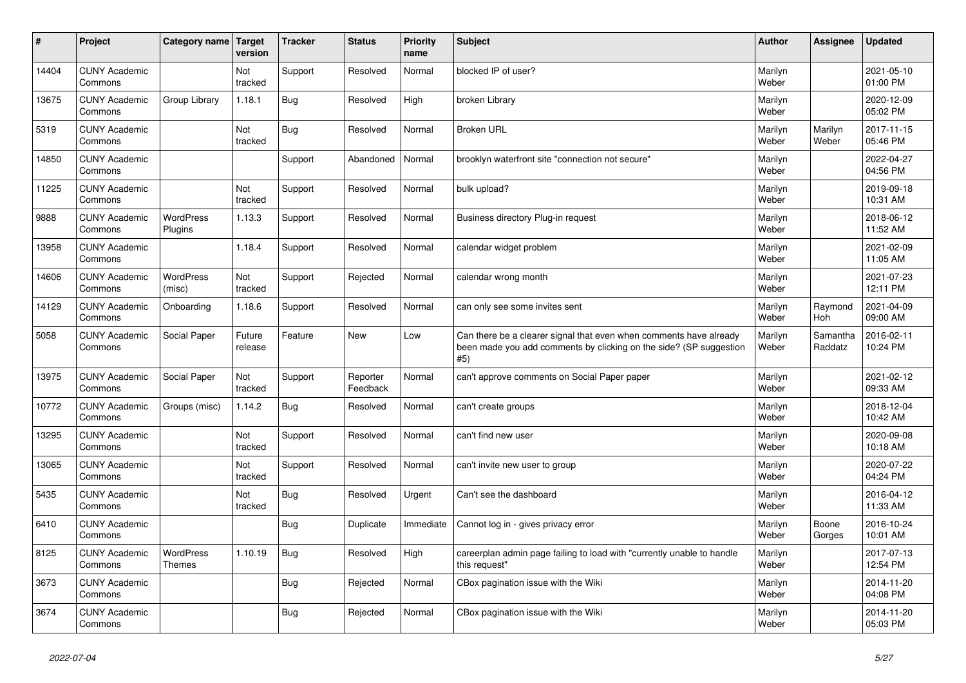| #     | Project                         | Category name   Target      | version           | <b>Tracker</b> | <b>Status</b>        | <b>Priority</b><br>name | <b>Subject</b>                                                                                                                                  | <b>Author</b>    | <b>Assignee</b>       | <b>Updated</b>         |
|-------|---------------------------------|-----------------------------|-------------------|----------------|----------------------|-------------------------|-------------------------------------------------------------------------------------------------------------------------------------------------|------------------|-----------------------|------------------------|
| 14404 | <b>CUNY Academic</b><br>Commons |                             | Not<br>tracked    | Support        | Resolved             | Normal                  | blocked IP of user?                                                                                                                             | Marilyn<br>Weber |                       | 2021-05-10<br>01:00 PM |
| 13675 | <b>CUNY Academic</b><br>Commons | Group Library               | 1.18.1            | <b>Bug</b>     | Resolved             | High                    | broken Library                                                                                                                                  | Marilyn<br>Weber |                       | 2020-12-09<br>05:02 PM |
| 5319  | <b>CUNY Academic</b><br>Commons |                             | Not<br>tracked    | Bug            | Resolved             | Normal                  | <b>Broken URL</b>                                                                                                                               | Marilyn<br>Weber | Marilyn<br>Weber      | 2017-11-15<br>05:46 PM |
| 14850 | <b>CUNY Academic</b><br>Commons |                             |                   | Support        | Abandoned            | Normal                  | brooklyn waterfront site "connection not secure"                                                                                                | Marilyn<br>Weber |                       | 2022-04-27<br>04:56 PM |
| 11225 | <b>CUNY Academic</b><br>Commons |                             | Not<br>tracked    | Support        | Resolved             | Normal                  | bulk upload?                                                                                                                                    | Marilyn<br>Weber |                       | 2019-09-18<br>10:31 AM |
| 9888  | <b>CUNY Academic</b><br>Commons | <b>WordPress</b><br>Plugins | 1.13.3            | Support        | Resolved             | Normal                  | Business directory Plug-in request                                                                                                              | Marilyn<br>Weber |                       | 2018-06-12<br>11:52 AM |
| 13958 | <b>CUNY Academic</b><br>Commons |                             | 1.18.4            | Support        | Resolved             | Normal                  | calendar widget problem                                                                                                                         | Marilyn<br>Weber |                       | 2021-02-09<br>11:05 AM |
| 14606 | <b>CUNY Academic</b><br>Commons | WordPress<br>(misc)         | Not<br>tracked    | Support        | Rejected             | Normal                  | calendar wrong month                                                                                                                            | Marilyn<br>Weber |                       | 2021-07-23<br>12:11 PM |
| 14129 | <b>CUNY Academic</b><br>Commons | Onboarding                  | 1.18.6            | Support        | Resolved             | Normal                  | can only see some invites sent                                                                                                                  | Marilyn<br>Weber | Raymond<br><b>Hoh</b> | 2021-04-09<br>09:00 AM |
| 5058  | <b>CUNY Academic</b><br>Commons | Social Paper                | Future<br>release | Feature        | <b>New</b>           | Low                     | Can there be a clearer signal that even when comments have already<br>been made you add comments by clicking on the side? (SP suggestion<br>#5) | Marilyn<br>Weber | Samantha<br>Raddatz   | 2016-02-11<br>10:24 PM |
| 13975 | <b>CUNY Academic</b><br>Commons | Social Paper                | Not<br>tracked    | Support        | Reporter<br>Feedback | Normal                  | can't approve comments on Social Paper paper                                                                                                    | Marilyn<br>Weber |                       | 2021-02-12<br>09:33 AM |
| 10772 | <b>CUNY Academic</b><br>Commons | Groups (misc)               | 1.14.2            | Bug            | Resolved             | Normal                  | can't create groups                                                                                                                             | Marilyn<br>Weber |                       | 2018-12-04<br>10:42 AM |
| 13295 | <b>CUNY Academic</b><br>Commons |                             | Not<br>tracked    | Support        | Resolved             | Normal                  | can't find new user                                                                                                                             | Marilyn<br>Weber |                       | 2020-09-08<br>10:18 AM |
| 13065 | <b>CUNY Academic</b><br>Commons |                             | Not<br>tracked    | Support        | Resolved             | Normal                  | can't invite new user to group                                                                                                                  | Marilyn<br>Weber |                       | 2020-07-22<br>04:24 PM |
| 5435  | <b>CUNY Academic</b><br>Commons |                             | Not<br>tracked    | <b>Bug</b>     | Resolved             | Urgent                  | Can't see the dashboard                                                                                                                         | Marilyn<br>Weber |                       | 2016-04-12<br>11:33 AM |
| 6410  | <b>CUNY Academic</b><br>Commons |                             |                   | <b>Bug</b>     | Duplicate            | Immediate               | Cannot log in - gives privacy error                                                                                                             | Marilyn<br>Weber | Boone<br>Gorges       | 2016-10-24<br>10:01 AM |
| 8125  | <b>CUNY Academic</b><br>Commons | WordPress<br><b>Themes</b>  | 1.10.19           | <b>Bug</b>     | Resolved             | High                    | careerplan admin page failing to load with "currently unable to handle<br>this request"                                                         | Marilyn<br>Weber |                       | 2017-07-13<br>12:54 PM |
| 3673  | <b>CUNY Academic</b><br>Commons |                             |                   | Bug            | Rejected             | Normal                  | CBox pagination issue with the Wiki                                                                                                             | Marilyn<br>Weber |                       | 2014-11-20<br>04:08 PM |
| 3674  | <b>CUNY Academic</b><br>Commons |                             |                   | <b>Bug</b>     | Rejected             | Normal                  | CBox pagination issue with the Wiki                                                                                                             | Marilyn<br>Weber |                       | 2014-11-20<br>05:03 PM |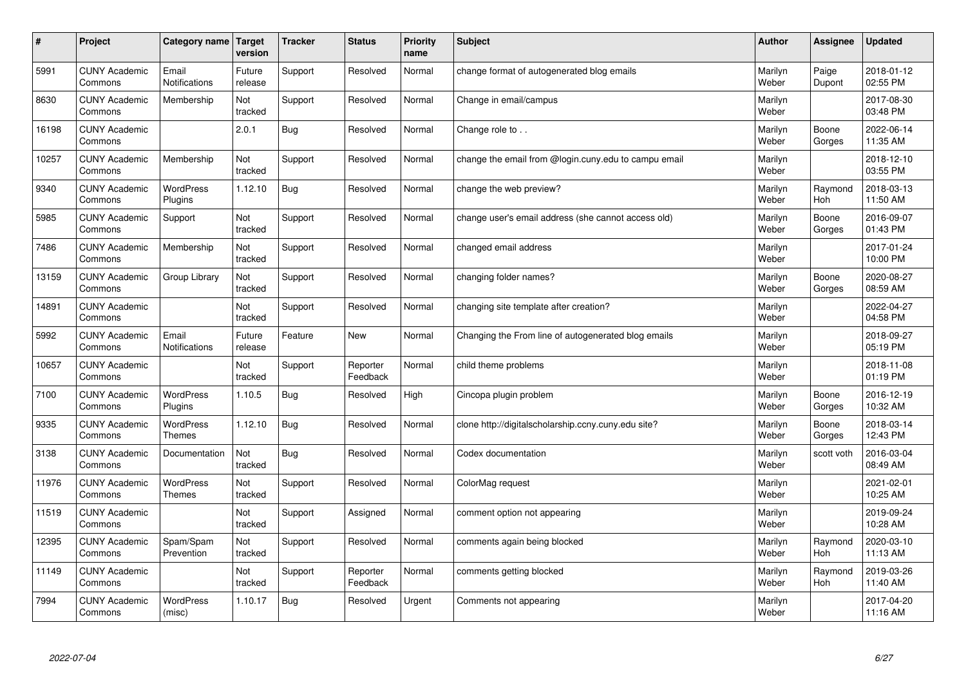| $\#$  | Project                         | Category name   Target            | version           | <b>Tracker</b> | <b>Status</b>        | Priority<br>name | <b>Subject</b>                                       | <b>Author</b>    | <b>Assignee</b>       | <b>Updated</b>         |
|-------|---------------------------------|-----------------------------------|-------------------|----------------|----------------------|------------------|------------------------------------------------------|------------------|-----------------------|------------------------|
| 5991  | <b>CUNY Academic</b><br>Commons | Email<br>Notifications            | Future<br>release | Support        | Resolved             | Normal           | change format of autogenerated blog emails           | Marilyn<br>Weber | Paige<br>Dupont       | 2018-01-12<br>02:55 PM |
| 8630  | <b>CUNY Academic</b><br>Commons | Membership                        | Not<br>tracked    | Support        | Resolved             | Normal           | Change in email/campus                               | Marilyn<br>Weber |                       | 2017-08-30<br>03:48 PM |
| 16198 | <b>CUNY Academic</b><br>Commons |                                   | 2.0.1             | Bug            | Resolved             | Normal           | Change role to                                       | Marilyn<br>Weber | Boone<br>Gorges       | 2022-06-14<br>11:35 AM |
| 10257 | <b>CUNY Academic</b><br>Commons | Membership                        | Not<br>tracked    | Support        | Resolved             | Normal           | change the email from @login.cuny.edu to campu email | Marilyn<br>Weber |                       | 2018-12-10<br>03:55 PM |
| 9340  | <b>CUNY Academic</b><br>Commons | <b>WordPress</b><br>Plugins       | 1.12.10           | Bug            | Resolved             | Normal           | change the web preview?                              | Marilyn<br>Weber | Raymond<br>Hoh        | 2018-03-13<br>11:50 AM |
| 5985  | <b>CUNY Academic</b><br>Commons | Support                           | Not<br>tracked    | Support        | Resolved             | Normal           | change user's email address (she cannot access old)  | Marilyn<br>Weber | Boone<br>Gorges       | 2016-09-07<br>01:43 PM |
| 7486  | <b>CUNY Academic</b><br>Commons | Membership                        | Not<br>tracked    | Support        | Resolved             | Normal           | changed email address                                | Marilyn<br>Weber |                       | 2017-01-24<br>10:00 PM |
| 13159 | <b>CUNY Academic</b><br>Commons | Group Library                     | Not<br>tracked    | Support        | Resolved             | Normal           | changing folder names?                               | Marilyn<br>Weber | Boone<br>Gorges       | 2020-08-27<br>08:59 AM |
| 14891 | <b>CUNY Academic</b><br>Commons |                                   | Not<br>tracked    | Support        | Resolved             | Normal           | changing site template after creation?               | Marilyn<br>Weber |                       | 2022-04-27<br>04:58 PM |
| 5992  | <b>CUNY Academic</b><br>Commons | Email<br>Notifications            | Future<br>release | Feature        | <b>New</b>           | Normal           | Changing the From line of autogenerated blog emails  | Marilyn<br>Weber |                       | 2018-09-27<br>05:19 PM |
| 10657 | <b>CUNY Academic</b><br>Commons |                                   | Not<br>tracked    | Support        | Reporter<br>Feedback | Normal           | child theme problems                                 | Marilyn<br>Weber |                       | 2018-11-08<br>01:19 PM |
| 7100  | <b>CUNY Academic</b><br>Commons | WordPress<br>Plugins              | 1.10.5            | <b>Bug</b>     | Resolved             | High             | Cincopa plugin problem                               | Marilyn<br>Weber | Boone<br>Gorges       | 2016-12-19<br>10:32 AM |
| 9335  | <b>CUNY Academic</b><br>Commons | <b>WordPress</b><br><b>Themes</b> | 1.12.10           | <b>Bug</b>     | Resolved             | Normal           | clone http://digitalscholarship.ccny.cuny.edu site?  | Marilyn<br>Weber | Boone<br>Gorges       | 2018-03-14<br>12:43 PM |
| 3138  | <b>CUNY Academic</b><br>Commons | Documentation                     | Not<br>tracked    | <b>Bug</b>     | Resolved             | Normal           | Codex documentation                                  | Marilyn<br>Weber | scott voth            | 2016-03-04<br>08:49 AM |
| 11976 | <b>CUNY Academic</b><br>Commons | <b>WordPress</b><br><b>Themes</b> | Not<br>tracked    | Support        | Resolved             | Normal           | ColorMag request                                     | Marilyn<br>Weber |                       | 2021-02-01<br>10:25 AM |
| 11519 | <b>CUNY Academic</b><br>Commons |                                   | Not<br>tracked    | Support        | Assigned             | Normal           | comment option not appearing                         | Marilyn<br>Weber |                       | 2019-09-24<br>10:28 AM |
| 12395 | <b>CUNY Academic</b><br>Commons | Spam/Spam<br>Prevention           | Not<br>tracked    | Support        | Resolved             | Normal           | comments again being blocked                         | Marilyn<br>Weber | Raymond<br>Hoh        | 2020-03-10<br>11:13 AM |
| 11149 | <b>CUNY Academic</b><br>Commons |                                   | Not<br>tracked    | Support        | Reporter<br>Feedback | Normal           | comments getting blocked                             | Marilyn<br>Weber | Raymond<br><b>Hoh</b> | 2019-03-26<br>11:40 AM |
| 7994  | <b>CUNY Academic</b><br>Commons | <b>WordPress</b><br>(misc)        | 1.10.17           | Bug            | Resolved             | Urgent           | Comments not appearing                               | Marilyn<br>Weber |                       | 2017-04-20<br>11:16 AM |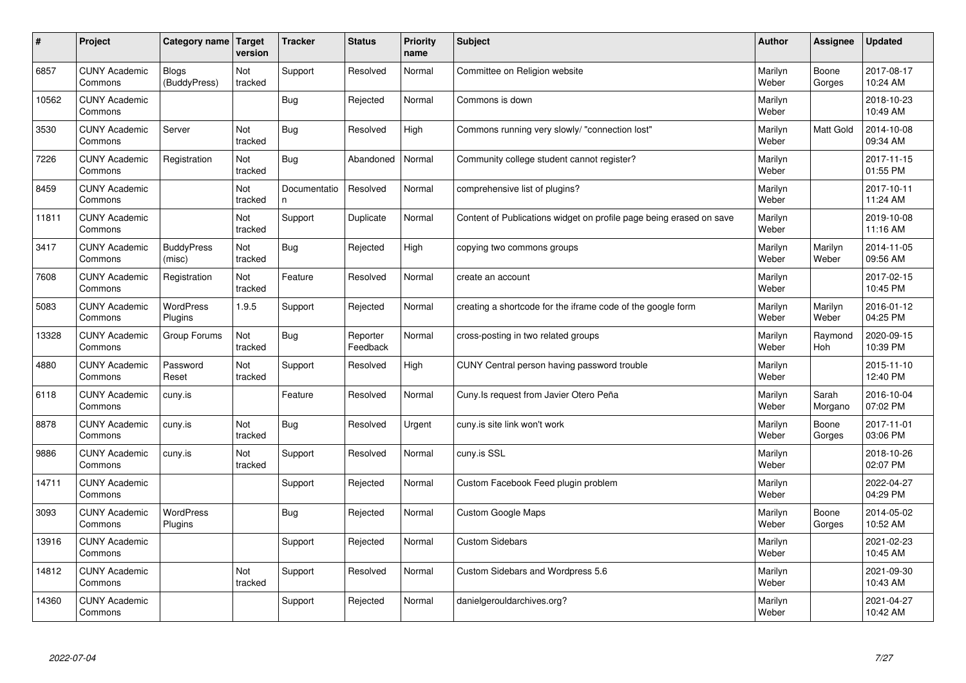| #     | Project                         | Category name                | <b>Target</b><br>version | <b>Tracker</b>     | <b>Status</b>        | <b>Priority</b><br>name | <b>Subject</b>                                                      | <b>Author</b>    | Assignee         | Updated                |
|-------|---------------------------------|------------------------------|--------------------------|--------------------|----------------------|-------------------------|---------------------------------------------------------------------|------------------|------------------|------------------------|
| 6857  | <b>CUNY Academic</b><br>Commons | <b>Blogs</b><br>(BuddyPress) | Not<br>tracked           | Support            | Resolved             | Normal                  | Committee on Religion website                                       | Marilyn<br>Weber | Boone<br>Gorges  | 2017-08-17<br>10:24 AM |
| 10562 | <b>CUNY Academic</b><br>Commons |                              |                          | Bug                | Rejected             | Normal                  | Commons is down                                                     | Marilyn<br>Weber |                  | 2018-10-23<br>10:49 AM |
| 3530  | <b>CUNY Academic</b><br>Commons | Server                       | Not<br>tracked           | Bug                | Resolved             | High                    | Commons running very slowly/ "connection lost"                      | Marilyn<br>Weber | <b>Matt Gold</b> | 2014-10-08<br>09:34 AM |
| 7226  | <b>CUNY Academic</b><br>Commons | Registration                 | Not<br>tracked           | Bug                | Abandoned            | Normal                  | Community college student cannot register?                          | Marilyn<br>Weber |                  | 2017-11-15<br>01:55 PM |
| 8459  | <b>CUNY Academic</b><br>Commons |                              | Not<br>tracked           | Documentatio<br>n. | Resolved             | Normal                  | comprehensive list of plugins?                                      | Marilyn<br>Weber |                  | 2017-10-11<br>11:24 AM |
| 11811 | <b>CUNY Academic</b><br>Commons |                              | Not<br>tracked           | Support            | Duplicate            | Normal                  | Content of Publications widget on profile page being erased on save | Marilyn<br>Weber |                  | 2019-10-08<br>11:16 AM |
| 3417  | <b>CUNY Academic</b><br>Commons | <b>BuddyPress</b><br>(misc)  | Not<br>tracked           | Bug                | Rejected             | High                    | copying two commons groups                                          | Marilyn<br>Weber | Marilyn<br>Weber | 2014-11-05<br>09:56 AM |
| 7608  | <b>CUNY Academic</b><br>Commons | Registration                 | Not<br>tracked           | Feature            | Resolved             | Normal                  | create an account                                                   | Marilyn<br>Weber |                  | 2017-02-15<br>10:45 PM |
| 5083  | <b>CUNY Academic</b><br>Commons | <b>WordPress</b><br>Plugins  | 1.9.5                    | Support            | Rejected             | Normal                  | creating a shortcode for the iframe code of the google form         | Marilyn<br>Weber | Marilyn<br>Weber | 2016-01-12<br>04:25 PM |
| 13328 | <b>CUNY Academic</b><br>Commons | Group Forums                 | Not<br>tracked           | Bug                | Reporter<br>Feedback | Normal                  | cross-posting in two related groups                                 | Marilyn<br>Weber | Raymond<br>Hoh   | 2020-09-15<br>10:39 PM |
| 4880  | <b>CUNY Academic</b><br>Commons | Password<br>Reset            | Not<br>tracked           | Support            | Resolved             | High                    | CUNY Central person having password trouble                         | Marilyn<br>Weber |                  | 2015-11-10<br>12:40 PM |
| 6118  | <b>CUNY Academic</b><br>Commons | cuny.is                      |                          | Feature            | Resolved             | Normal                  | Cuny. Is request from Javier Otero Peña                             | Marilyn<br>Weber | Sarah<br>Morgano | 2016-10-04<br>07:02 PM |
| 8878  | <b>CUNY Academic</b><br>Commons | cuny.is                      | Not<br>tracked           | Bug                | Resolved             | Urgent                  | cuny is site link won't work                                        | Marilyn<br>Weber | Boone<br>Gorges  | 2017-11-01<br>03:06 PM |
| 9886  | <b>CUNY Academic</b><br>Commons | cuny.is                      | Not<br>tracked           | Support            | Resolved             | Normal                  | cuny.is SSL                                                         | Marilyn<br>Weber |                  | 2018-10-26<br>02:07 PM |
| 14711 | <b>CUNY Academic</b><br>Commons |                              |                          | Support            | Rejected             | Normal                  | Custom Facebook Feed plugin problem                                 | Marilyn<br>Weber |                  | 2022-04-27<br>04:29 PM |
| 3093  | <b>CUNY Academic</b><br>Commons | <b>WordPress</b><br>Plugins  |                          | Bug                | Rejected             | Normal                  | <b>Custom Google Maps</b>                                           | Marilyn<br>Weber | Boone<br>Gorges  | 2014-05-02<br>10:52 AM |
| 13916 | <b>CUNY Academic</b><br>Commons |                              |                          | Support            | Rejected             | Normal                  | <b>Custom Sidebars</b>                                              | Marilyn<br>Weber |                  | 2021-02-23<br>10:45 AM |
| 14812 | <b>CUNY Academic</b><br>Commons |                              | Not<br>tracked           | Support            | Resolved             | Normal                  | Custom Sidebars and Wordpress 5.6                                   | Marilyn<br>Weber |                  | 2021-09-30<br>10:43 AM |
| 14360 | <b>CUNY Academic</b><br>Commons |                              |                          | Support            | Rejected             | Normal                  | danielgerouldarchives.org?                                          | Marilyn<br>Weber |                  | 2021-04-27<br>10:42 AM |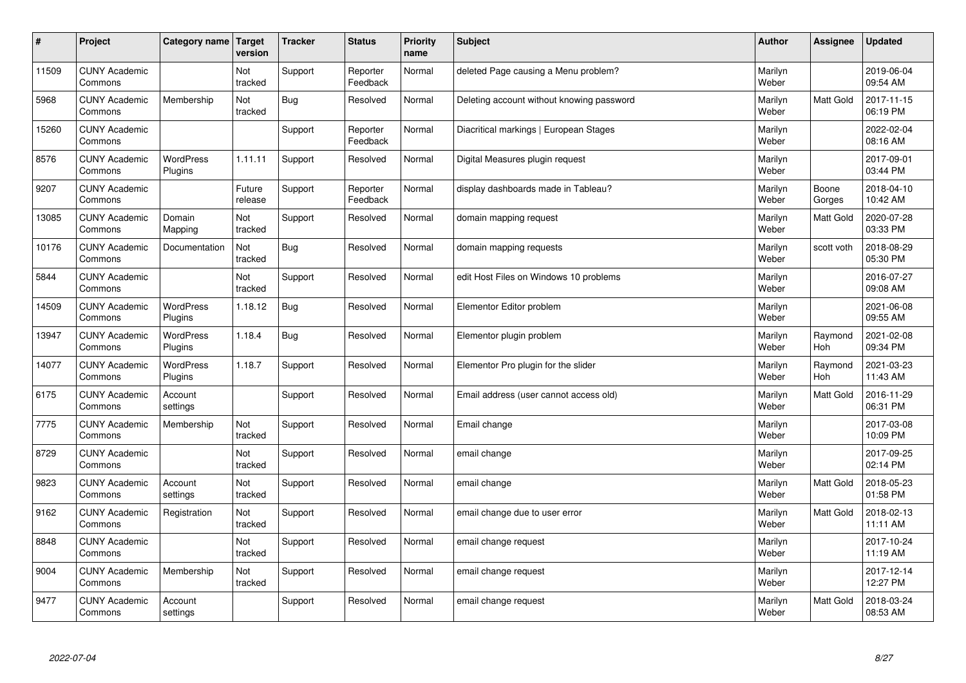| $\sharp$ | Project                         | Category name               | Target<br>version | <b>Tracker</b> | <b>Status</b>        | <b>Priority</b><br>name | <b>Subject</b>                            | <b>Author</b>    | Assignee         | <b>Updated</b>         |
|----------|---------------------------------|-----------------------------|-------------------|----------------|----------------------|-------------------------|-------------------------------------------|------------------|------------------|------------------------|
| 11509    | <b>CUNY Academic</b><br>Commons |                             | Not<br>tracked    | Support        | Reporter<br>Feedback | Normal                  | deleted Page causing a Menu problem?      | Marilyn<br>Weber |                  | 2019-06-04<br>09:54 AM |
| 5968     | <b>CUNY Academic</b><br>Commons | Membership                  | Not<br>tracked    | Bug            | Resolved             | Normal                  | Deleting account without knowing password | Marilyn<br>Weber | <b>Matt Gold</b> | 2017-11-15<br>06:19 PM |
| 15260    | <b>CUNY Academic</b><br>Commons |                             |                   | Support        | Reporter<br>Feedback | Normal                  | Diacritical markings   European Stages    | Marilyn<br>Weber |                  | 2022-02-04<br>08:16 AM |
| 8576     | <b>CUNY Academic</b><br>Commons | <b>WordPress</b><br>Plugins | 1.11.11           | Support        | Resolved             | Normal                  | Digital Measures plugin request           | Marilyn<br>Weber |                  | 2017-09-01<br>03:44 PM |
| 9207     | <b>CUNY Academic</b><br>Commons |                             | Future<br>release | Support        | Reporter<br>Feedback | Normal                  | display dashboards made in Tableau?       | Marilyn<br>Weber | Boone<br>Gorges  | 2018-04-10<br>10:42 AM |
| 13085    | <b>CUNY Academic</b><br>Commons | Domain<br>Mapping           | Not<br>tracked    | Support        | Resolved             | Normal                  | domain mapping request                    | Marilyn<br>Weber | <b>Matt Gold</b> | 2020-07-28<br>03:33 PM |
| 10176    | <b>CUNY Academic</b><br>Commons | Documentation               | Not<br>tracked    | Bug            | Resolved             | Normal                  | domain mapping requests                   | Marilyn<br>Weber | scott voth       | 2018-08-29<br>05:30 PM |
| 5844     | <b>CUNY Academic</b><br>Commons |                             | Not<br>tracked    | Support        | Resolved             | Normal                  | edit Host Files on Windows 10 problems    | Marilyn<br>Weber |                  | 2016-07-27<br>09:08 AM |
| 14509    | <b>CUNY Academic</b><br>Commons | WordPress<br>Plugins        | 1.18.12           | Bug            | Resolved             | Normal                  | Elementor Editor problem                  | Marilyn<br>Weber |                  | 2021-06-08<br>09:55 AM |
| 13947    | <b>CUNY Academic</b><br>Commons | WordPress<br>Plugins        | 1.18.4            | Bug            | Resolved             | Normal                  | Elementor plugin problem                  | Marilyn<br>Weber | Raymond<br>Hoh   | 2021-02-08<br>09:34 PM |
| 14077    | <b>CUNY Academic</b><br>Commons | WordPress<br>Plugins        | 1.18.7            | Support        | Resolved             | Normal                  | Elementor Pro plugin for the slider       | Marilyn<br>Weber | Raymond<br>Hoh   | 2021-03-23<br>11:43 AM |
| 6175     | <b>CUNY Academic</b><br>Commons | Account<br>settings         |                   | Support        | Resolved             | Normal                  | Email address (user cannot access old)    | Marilyn<br>Weber | <b>Matt Gold</b> | 2016-11-29<br>06:31 PM |
| 7775     | <b>CUNY Academic</b><br>Commons | Membership                  | Not<br>tracked    | Support        | Resolved             | Normal                  | Email change                              | Marilyn<br>Weber |                  | 2017-03-08<br>10:09 PM |
| 8729     | <b>CUNY Academic</b><br>Commons |                             | Not<br>tracked    | Support        | Resolved             | Normal                  | email change                              | Marilyn<br>Weber |                  | 2017-09-25<br>02:14 PM |
| 9823     | <b>CUNY Academic</b><br>Commons | Account<br>settings         | Not<br>tracked    | Support        | Resolved             | Normal                  | email change                              | Marilyn<br>Weber | Matt Gold        | 2018-05-23<br>01:58 PM |
| 9162     | <b>CUNY Academic</b><br>Commons | Registration                | Not<br>tracked    | Support        | Resolved             | Normal                  | email change due to user error            | Marilyn<br>Weber | <b>Matt Gold</b> | 2018-02-13<br>11:11 AM |
| 8848     | <b>CUNY Academic</b><br>Commons |                             | Not<br>tracked    | Support        | Resolved             | Normal                  | email change request                      | Marilyn<br>Weber |                  | 2017-10-24<br>11:19 AM |
| 9004     | <b>CUNY Academic</b><br>Commons | Membership                  | Not<br>tracked    | Support        | Resolved             | Normal                  | email change request                      | Marilyn<br>Weber |                  | 2017-12-14<br>12:27 PM |
| 9477     | <b>CUNY Academic</b><br>Commons | Account<br>settings         |                   | Support        | Resolved             | Normal                  | email change request                      | Marilyn<br>Weber | <b>Matt Gold</b> | 2018-03-24<br>08:53 AM |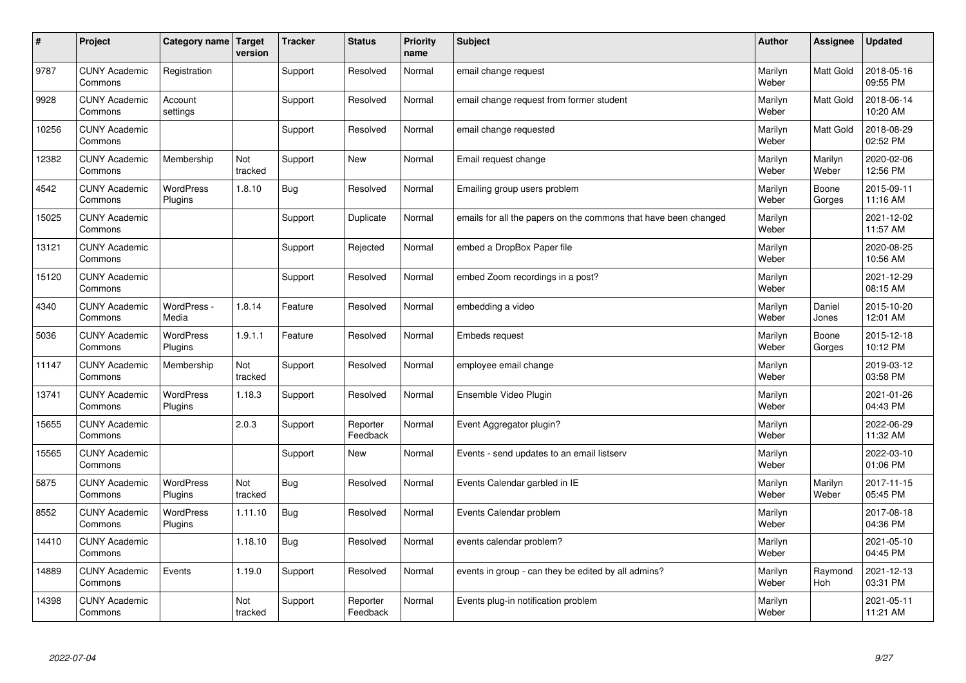| #     | Project                         | Category name               | Target<br>version | <b>Tracker</b> | <b>Status</b>        | <b>Priority</b><br>name | <b>Subject</b>                                                  | <b>Author</b>    | Assignee         | Updated                |
|-------|---------------------------------|-----------------------------|-------------------|----------------|----------------------|-------------------------|-----------------------------------------------------------------|------------------|------------------|------------------------|
| 9787  | <b>CUNY Academic</b><br>Commons | Registration                |                   | Support        | Resolved             | Normal                  | email change request                                            | Marilyn<br>Weber | <b>Matt Gold</b> | 2018-05-16<br>09:55 PM |
| 9928  | <b>CUNY Academic</b><br>Commons | Account<br>settings         |                   | Support        | Resolved             | Normal                  | email change request from former student                        | Marilyn<br>Weber | Matt Gold        | 2018-06-14<br>10:20 AM |
| 10256 | <b>CUNY Academic</b><br>Commons |                             |                   | Support        | Resolved             | Normal                  | email change requested                                          | Marilyn<br>Weber | <b>Matt Gold</b> | 2018-08-29<br>02:52 PM |
| 12382 | <b>CUNY Academic</b><br>Commons | Membership                  | Not<br>tracked    | Support        | <b>New</b>           | Normal                  | Email request change                                            | Marilyn<br>Weber | Marilyn<br>Weber | 2020-02-06<br>12:56 PM |
| 4542  | <b>CUNY Academic</b><br>Commons | <b>WordPress</b><br>Plugins | 1.8.10            | Bug            | Resolved             | Normal                  | Emailing group users problem                                    | Marilyn<br>Weber | Boone<br>Gorges  | 2015-09-11<br>11:16 AM |
| 15025 | <b>CUNY Academic</b><br>Commons |                             |                   | Support        | Duplicate            | Normal                  | emails for all the papers on the commons that have been changed | Marilyn<br>Weber |                  | 2021-12-02<br>11:57 AM |
| 13121 | <b>CUNY Academic</b><br>Commons |                             |                   | Support        | Rejected             | Normal                  | embed a DropBox Paper file                                      | Marilyn<br>Weber |                  | 2020-08-25<br>10:56 AM |
| 15120 | <b>CUNY Academic</b><br>Commons |                             |                   | Support        | Resolved             | Normal                  | embed Zoom recordings in a post?                                | Marilyn<br>Weber |                  | 2021-12-29<br>08:15 AM |
| 4340  | <b>CUNY Academic</b><br>Commons | WordPress -<br>Media        | 1.8.14            | Feature        | Resolved             | Normal                  | embedding a video                                               | Marilyn<br>Weber | Daniel<br>Jones  | 2015-10-20<br>12:01 AM |
| 5036  | <b>CUNY Academic</b><br>Commons | WordPress<br>Plugins        | 1.9.1.1           | Feature        | Resolved             | Normal                  | <b>Embeds request</b>                                           | Marilyn<br>Weber | Boone<br>Gorges  | 2015-12-18<br>10:12 PM |
| 11147 | <b>CUNY Academic</b><br>Commons | Membership                  | Not<br>tracked    | Support        | Resolved             | Normal                  | employee email change                                           | Marilyn<br>Weber |                  | 2019-03-12<br>03:58 PM |
| 13741 | <b>CUNY Academic</b><br>Commons | <b>WordPress</b><br>Plugins | 1.18.3            | Support        | Resolved             | Normal                  | Ensemble Video Plugin                                           | Marilyn<br>Weber |                  | 2021-01-26<br>04:43 PM |
| 15655 | <b>CUNY Academic</b><br>Commons |                             | 2.0.3             | Support        | Reporter<br>Feedback | Normal                  | Event Aggregator plugin?                                        | Marilyn<br>Weber |                  | 2022-06-29<br>11:32 AM |
| 15565 | <b>CUNY Academic</b><br>Commons |                             |                   | Support        | <b>New</b>           | Normal                  | Events - send updates to an email listserv                      | Marilyn<br>Weber |                  | 2022-03-10<br>01:06 PM |
| 5875  | <b>CUNY Academic</b><br>Commons | <b>WordPress</b><br>Plugins | Not<br>tracked    | <b>Bug</b>     | Resolved             | Normal                  | Events Calendar garbled in IE                                   | Marilyn<br>Weber | Marilyn<br>Weber | 2017-11-15<br>05:45 PM |
| 8552  | <b>CUNY Academic</b><br>Commons | <b>WordPress</b><br>Plugins | 1.11.10           | <b>Bug</b>     | Resolved             | Normal                  | Events Calendar problem                                         | Marilyn<br>Weber |                  | 2017-08-18<br>04:36 PM |
| 14410 | <b>CUNY Academic</b><br>Commons |                             | 1.18.10           | Bug            | Resolved             | Normal                  | events calendar problem?                                        | Marilyn<br>Weber |                  | 2021-05-10<br>04:45 PM |
| 14889 | <b>CUNY Academic</b><br>Commons | Events                      | 1.19.0            | Support        | Resolved             | Normal                  | events in group - can they be edited by all admins?             | Marilyn<br>Weber | Raymond<br>Hoh   | 2021-12-13<br>03:31 PM |
| 14398 | <b>CUNY Academic</b><br>Commons |                             | Not<br>tracked    | Support        | Reporter<br>Feedback | Normal                  | Events plug-in notification problem                             | Marilyn<br>Weber |                  | 2021-05-11<br>11:21 AM |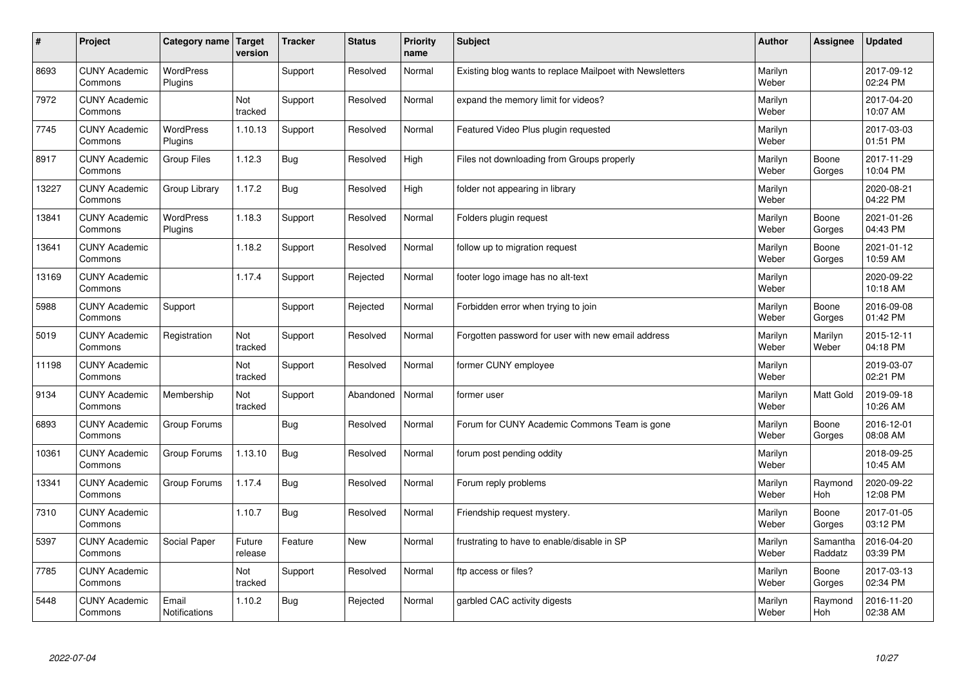| $\sharp$ | Project                         | Category name   Target        | version           | <b>Tracker</b> | <b>Status</b> | <b>Priority</b><br>name | <b>Subject</b>                                           | <b>Author</b>    | Assignee              | <b>Updated</b>         |
|----------|---------------------------------|-------------------------------|-------------------|----------------|---------------|-------------------------|----------------------------------------------------------|------------------|-----------------------|------------------------|
| 8693     | <b>CUNY Academic</b><br>Commons | <b>WordPress</b><br>Plugins   |                   | Support        | Resolved      | Normal                  | Existing blog wants to replace Mailpoet with Newsletters | Marilyn<br>Weber |                       | 2017-09-12<br>02:24 PM |
| 7972     | <b>CUNY Academic</b><br>Commons |                               | Not<br>tracked    | Support        | Resolved      | Normal                  | expand the memory limit for videos?                      | Marilyn<br>Weber |                       | 2017-04-20<br>10:07 AM |
| 7745     | <b>CUNY Academic</b><br>Commons | <b>WordPress</b><br>Plugins   | 1.10.13           | Support        | Resolved      | Normal                  | Featured Video Plus plugin requested                     | Marilyn<br>Weber |                       | 2017-03-03<br>01:51 PM |
| 8917     | <b>CUNY Academic</b><br>Commons | <b>Group Files</b>            | 1.12.3            | <b>Bug</b>     | Resolved      | High                    | Files not downloading from Groups properly               | Marilyn<br>Weber | Boone<br>Gorges       | 2017-11-29<br>10:04 PM |
| 13227    | <b>CUNY Academic</b><br>Commons | Group Library                 | 1.17.2            | <b>Bug</b>     | Resolved      | High                    | folder not appearing in library                          | Marilyn<br>Weber |                       | 2020-08-21<br>04:22 PM |
| 13841    | <b>CUNY Academic</b><br>Commons | <b>WordPress</b><br>Plugins   | 1.18.3            | Support        | Resolved      | Normal                  | Folders plugin request                                   | Marilyn<br>Weber | Boone<br>Gorges       | 2021-01-26<br>04:43 PM |
| 13641    | <b>CUNY Academic</b><br>Commons |                               | 1.18.2            | Support        | Resolved      | Normal                  | follow up to migration request                           | Marilyn<br>Weber | Boone<br>Gorges       | 2021-01-12<br>10:59 AM |
| 13169    | <b>CUNY Academic</b><br>Commons |                               | 1.17.4            | Support        | Rejected      | Normal                  | footer logo image has no alt-text                        | Marilyn<br>Weber |                       | 2020-09-22<br>10:18 AM |
| 5988     | <b>CUNY Academic</b><br>Commons | Support                       |                   | Support        | Rejected      | Normal                  | Forbidden error when trying to join                      | Marilyn<br>Weber | Boone<br>Gorges       | 2016-09-08<br>01:42 PM |
| 5019     | <b>CUNY Academic</b><br>Commons | Registration                  | Not<br>tracked    | Support        | Resolved      | Normal                  | Forgotten password for user with new email address       | Marilyn<br>Weber | Marilyn<br>Weber      | 2015-12-11<br>04:18 PM |
| 11198    | <b>CUNY Academic</b><br>Commons |                               | Not<br>tracked    | Support        | Resolved      | Normal                  | former CUNY employee                                     | Marilyn<br>Weber |                       | 2019-03-07<br>02:21 PM |
| 9134     | <b>CUNY Academic</b><br>Commons | Membership                    | Not<br>tracked    | Support        | Abandoned     | Normal                  | former user                                              | Marilyn<br>Weber | Matt Gold             | 2019-09-18<br>10:26 AM |
| 6893     | <b>CUNY Academic</b><br>Commons | Group Forums                  |                   | Bug            | Resolved      | Normal                  | Forum for CUNY Academic Commons Team is gone             | Marilyn<br>Weber | Boone<br>Gorges       | 2016-12-01<br>08:08 AM |
| 10361    | <b>CUNY Academic</b><br>Commons | Group Forums                  | 1.13.10           | Bug            | Resolved      | Normal                  | forum post pending oddity                                | Marilyn<br>Weber |                       | 2018-09-25<br>10:45 AM |
| 13341    | <b>CUNY Academic</b><br>Commons | Group Forums                  | 1.17.4            | Bug            | Resolved      | Normal                  | Forum reply problems                                     | Marilyn<br>Weber | Raymond<br><b>Hoh</b> | 2020-09-22<br>12:08 PM |
| 7310     | <b>CUNY Academic</b><br>Commons |                               | 1.10.7            | Bug            | Resolved      | Normal                  | Friendship request mystery.                              | Marilyn<br>Weber | Boone<br>Gorges       | 2017-01-05<br>03:12 PM |
| 5397     | <b>CUNY Academic</b><br>Commons | Social Paper                  | Future<br>release | Feature        | <b>New</b>    | Normal                  | frustrating to have to enable/disable in SP              | Marilyn<br>Weber | Samantha<br>Raddatz   | 2016-04-20<br>03:39 PM |
| 7785     | <b>CUNY Academic</b><br>Commons |                               | Not<br>tracked    | Support        | Resolved      | Normal                  | ftp access or files?                                     | Marilyn<br>Weber | Boone<br>Gorges       | 2017-03-13<br>02:34 PM |
| 5448     | <b>CUNY Academic</b><br>Commons | Email<br><b>Notifications</b> | 1.10.2            | Bug            | Rejected      | Normal                  | garbled CAC activity digests                             | Marilyn<br>Weber | Raymond<br>Hoh        | 2016-11-20<br>02:38 AM |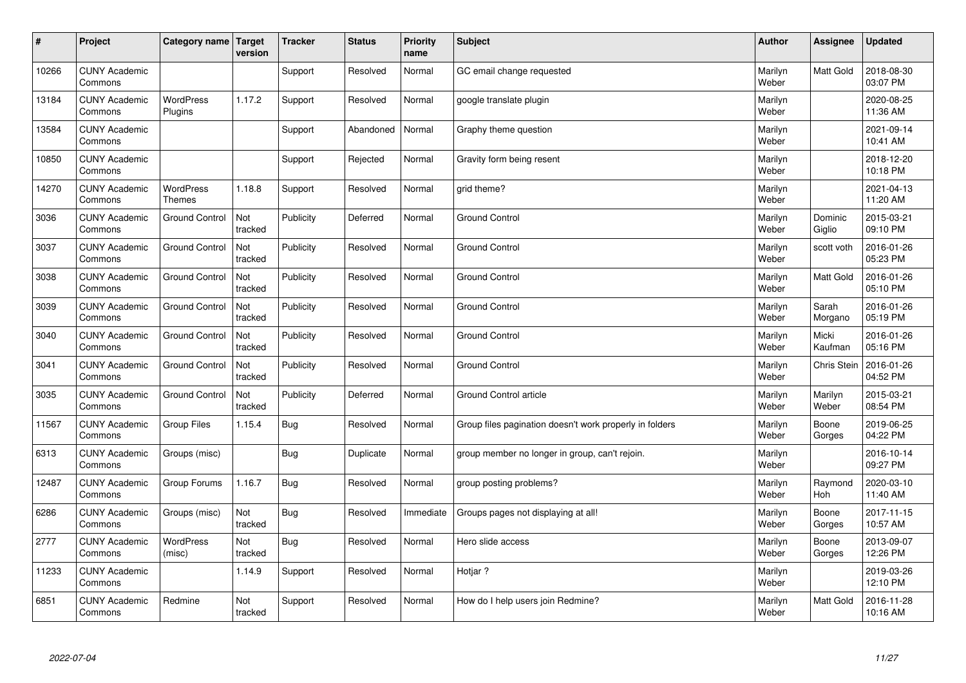| #     | Project                         | Category name   Target            | version        | <b>Tracker</b> | <b>Status</b> | <b>Priority</b><br>name | <b>Subject</b>                                          | <b>Author</b>    | Assignee              | <b>Updated</b>         |
|-------|---------------------------------|-----------------------------------|----------------|----------------|---------------|-------------------------|---------------------------------------------------------|------------------|-----------------------|------------------------|
| 10266 | <b>CUNY Academic</b><br>Commons |                                   |                | Support        | Resolved      | Normal                  | GC email change requested                               | Marilyn<br>Weber | Matt Gold             | 2018-08-30<br>03:07 PM |
| 13184 | <b>CUNY Academic</b><br>Commons | <b>WordPress</b><br>Plugins       | 1.17.2         | Support        | Resolved      | Normal                  | google translate plugin                                 | Marilyn<br>Weber |                       | 2020-08-25<br>11:36 AM |
| 13584 | <b>CUNY Academic</b><br>Commons |                                   |                | Support        | Abandoned     | Normal                  | Graphy theme question                                   | Marilyn<br>Weber |                       | 2021-09-14<br>10:41 AM |
| 10850 | <b>CUNY Academic</b><br>Commons |                                   |                | Support        | Rejected      | Normal                  | Gravity form being resent                               | Marilyn<br>Weber |                       | 2018-12-20<br>10:18 PM |
| 14270 | <b>CUNY Academic</b><br>Commons | <b>WordPress</b><br><b>Themes</b> | 1.18.8         | Support        | Resolved      | Normal                  | grid theme?                                             | Marilyn<br>Weber |                       | 2021-04-13<br>11:20 AM |
| 3036  | <b>CUNY Academic</b><br>Commons | <b>Ground Control</b>             | Not<br>tracked | Publicity      | Deferred      | Normal                  | <b>Ground Control</b>                                   | Marilyn<br>Weber | Dominic<br>Giglio     | 2015-03-21<br>09:10 PM |
| 3037  | <b>CUNY Academic</b><br>Commons | <b>Ground Control</b>             | Not<br>tracked | Publicity      | Resolved      | Normal                  | <b>Ground Control</b>                                   | Marilyn<br>Weber | scott voth            | 2016-01-26<br>05:23 PM |
| 3038  | <b>CUNY Academic</b><br>Commons | <b>Ground Control</b>             | Not<br>tracked | Publicity      | Resolved      | Normal                  | <b>Ground Control</b>                                   | Marilyn<br>Weber | Matt Gold             | 2016-01-26<br>05:10 PM |
| 3039  | <b>CUNY Academic</b><br>Commons | <b>Ground Control</b>             | Not<br>tracked | Publicity      | Resolved      | Normal                  | <b>Ground Control</b>                                   | Marilyn<br>Weber | Sarah<br>Morgano      | 2016-01-26<br>05:19 PM |
| 3040  | <b>CUNY Academic</b><br>Commons | <b>Ground Control</b>             | Not<br>tracked | Publicity      | Resolved      | Normal                  | <b>Ground Control</b>                                   | Marilyn<br>Weber | Micki<br>Kaufman      | 2016-01-26<br>05:16 PM |
| 3041  | <b>CUNY Academic</b><br>Commons | <b>Ground Control</b>             | Not<br>tracked | Publicity      | Resolved      | Normal                  | Ground Control                                          | Marilyn<br>Weber | <b>Chris Stein</b>    | 2016-01-26<br>04:52 PM |
| 3035  | <b>CUNY Academic</b><br>Commons | <b>Ground Control</b>             | Not<br>tracked | Publicity      | Deferred      | Normal                  | Ground Control article                                  | Marilyn<br>Weber | Marilyn<br>Weber      | 2015-03-21<br>08:54 PM |
| 11567 | <b>CUNY Academic</b><br>Commons | <b>Group Files</b>                | 1.15.4         | Bug            | Resolved      | Normal                  | Group files pagination doesn't work properly in folders | Marilyn<br>Weber | Boone<br>Gorges       | 2019-06-25<br>04:22 PM |
| 6313  | <b>CUNY Academic</b><br>Commons | Groups (misc)                     |                | Bug            | Duplicate     | Normal                  | group member no longer in group, can't rejoin.          | Marilyn<br>Weber |                       | 2016-10-14<br>09:27 PM |
| 12487 | <b>CUNY Academic</b><br>Commons | Group Forums                      | 1.16.7         | Bug            | Resolved      | Normal                  | group posting problems?                                 | Marilyn<br>Weber | Raymond<br><b>Hoh</b> | 2020-03-10<br>11:40 AM |
| 6286  | <b>CUNY Academic</b><br>Commons | Groups (misc)                     | Not<br>tracked | Bug            | Resolved      | Immediate               | Groups pages not displaying at all!                     | Marilyn<br>Weber | Boone<br>Gorges       | 2017-11-15<br>10:57 AM |
| 2777  | <b>CUNY Academic</b><br>Commons | WordPress<br>(misc)               | Not<br>tracked | Bug            | Resolved      | Normal                  | Hero slide access                                       | Marilyn<br>Weber | Boone<br>Gorges       | 2013-09-07<br>12:26 PM |
| 11233 | <b>CUNY Academic</b><br>Commons |                                   | 1.14.9         | Support        | Resolved      | Normal                  | Hotjar ?                                                | Marilyn<br>Weber |                       | 2019-03-26<br>12:10 PM |
| 6851  | <b>CUNY Academic</b><br>Commons | Redmine                           | Not<br>tracked | Support        | Resolved      | Normal                  | How do I help users join Redmine?                       | Marilyn<br>Weber | <b>Matt Gold</b>      | 2016-11-28<br>10:16 AM |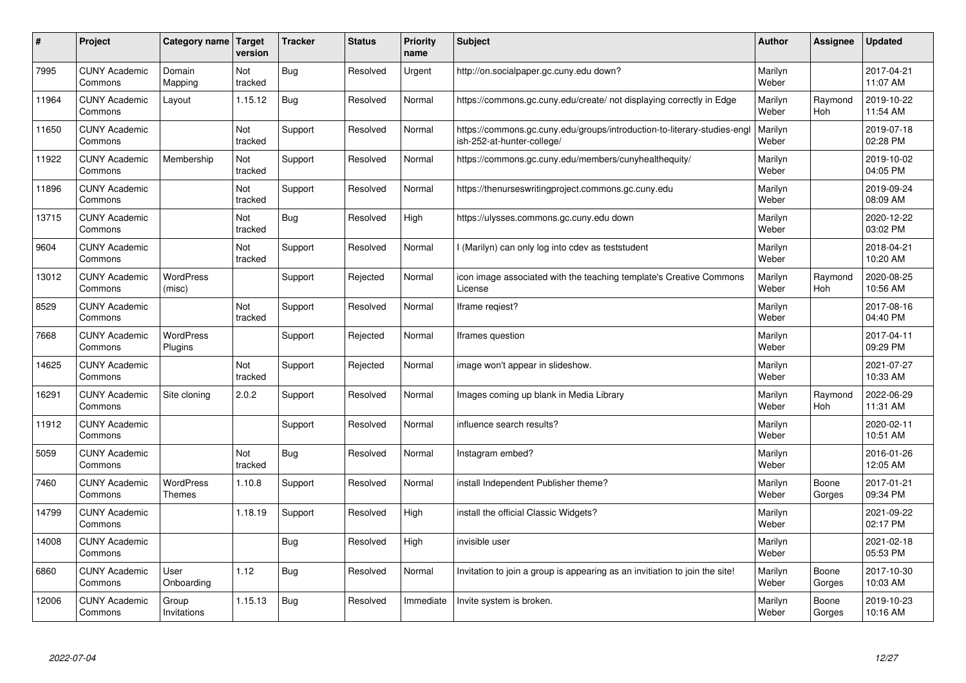| #     | Project                         | Category name   Target            | version        | <b>Tracker</b> | <b>Status</b> | Priority<br>name | <b>Subject</b>                                                                                        | <b>Author</b>    | <b>Assignee</b>       | <b>Updated</b>         |
|-------|---------------------------------|-----------------------------------|----------------|----------------|---------------|------------------|-------------------------------------------------------------------------------------------------------|------------------|-----------------------|------------------------|
| 7995  | <b>CUNY Academic</b><br>Commons | Domain<br>Mapping                 | Not<br>tracked | Bug            | Resolved      | Urgent           | http://on.socialpaper.gc.cuny.edu down?                                                               | Marilyn<br>Weber |                       | 2017-04-21<br>11:07 AM |
| 11964 | <b>CUNY Academic</b><br>Commons | Layout                            | 1.15.12        | Bug            | Resolved      | Normal           | https://commons.gc.cuny.edu/create/ not displaying correctly in Edge                                  | Marilyn<br>Weber | Raymond<br>Hoh        | 2019-10-22<br>11:54 AM |
| 11650 | <b>CUNY Academic</b><br>Commons |                                   | Not<br>tracked | Support        | Resolved      | Normal           | https://commons.gc.cuny.edu/groups/introduction-to-literary-studies-eng<br>ish-252-at-hunter-college/ | Marilyn<br>Weber |                       | 2019-07-18<br>02:28 PM |
| 11922 | <b>CUNY Academic</b><br>Commons | Membership                        | Not<br>tracked | Support        | Resolved      | Normal           | https://commons.gc.cuny.edu/members/cunyhealthequity/                                                 | Marilyn<br>Weber |                       | 2019-10-02<br>04:05 PM |
| 11896 | <b>CUNY Academic</b><br>Commons |                                   | Not<br>tracked | Support        | Resolved      | Normal           | https://thenurseswritingproject.commons.gc.cuny.edu                                                   | Marilyn<br>Weber |                       | 2019-09-24<br>08:09 AM |
| 13715 | <b>CUNY Academic</b><br>Commons |                                   | Not<br>tracked | Bug            | Resolved      | High             | https://ulysses.commons.gc.cuny.edu down                                                              | Marilyn<br>Weber |                       | 2020-12-22<br>03:02 PM |
| 9604  | <b>CUNY Academic</b><br>Commons |                                   | Not<br>tracked | Support        | Resolved      | Normal           | I (Marilyn) can only log into cdev as teststudent                                                     | Marilyn<br>Weber |                       | 2018-04-21<br>10:20 AM |
| 13012 | <b>CUNY Academic</b><br>Commons | WordPress<br>(misc)               |                | Support        | Rejected      | Normal           | icon image associated with the teaching template's Creative Commons<br>License                        | Marilyn<br>Weber | Raymond<br><b>Hoh</b> | 2020-08-25<br>10:56 AM |
| 8529  | <b>CUNY Academic</b><br>Commons |                                   | Not<br>tracked | Support        | Resolved      | Normal           | Iframe regiest?                                                                                       | Marilyn<br>Weber |                       | 2017-08-16<br>04:40 PM |
| 7668  | <b>CUNY Academic</b><br>Commons | <b>WordPress</b><br>Plugins       |                | Support        | Rejected      | Normal           | Iframes question                                                                                      | Marilyn<br>Weber |                       | 2017-04-11<br>09:29 PM |
| 14625 | <b>CUNY Academic</b><br>Commons |                                   | Not<br>tracked | Support        | Rejected      | Normal           | image won't appear in slideshow.                                                                      | Marilyn<br>Weber |                       | 2021-07-27<br>10:33 AM |
| 16291 | <b>CUNY Academic</b><br>Commons | Site cloning                      | 2.0.2          | Support        | Resolved      | Normal           | Images coming up blank in Media Library                                                               | Marilyn<br>Weber | Raymond<br><b>Hoh</b> | 2022-06-29<br>11:31 AM |
| 11912 | <b>CUNY Academic</b><br>Commons |                                   |                | Support        | Resolved      | Normal           | influence search results?                                                                             | Marilyn<br>Weber |                       | 2020-02-11<br>10:51 AM |
| 5059  | <b>CUNY Academic</b><br>Commons |                                   | Not<br>tracked | Bug            | Resolved      | Normal           | Instagram embed?                                                                                      | Marilyn<br>Weber |                       | 2016-01-26<br>12:05 AM |
| 7460  | <b>CUNY Academic</b><br>Commons | <b>WordPress</b><br><b>Themes</b> | 1.10.8         | Support        | Resolved      | Normal           | install Independent Publisher theme?                                                                  | Marilyn<br>Weber | Boone<br>Gorges       | 2017-01-21<br>09:34 PM |
| 14799 | <b>CUNY Academic</b><br>Commons |                                   | 1.18.19        | Support        | Resolved      | High             | install the official Classic Widgets?                                                                 | Marilyn<br>Weber |                       | 2021-09-22<br>02:17 PM |
| 14008 | <b>CUNY Academic</b><br>Commons |                                   |                | Bug            | Resolved      | High             | invisible user                                                                                        | Marilyn<br>Weber |                       | 2021-02-18<br>05:53 PM |
| 6860  | <b>CUNY Academic</b><br>Commons | User<br>Onboarding                | 1.12           | Bug            | Resolved      | Normal           | Invitation to join a group is appearing as an invitiation to join the site!                           | Marilyn<br>Weber | Boone<br>Gorges       | 2017-10-30<br>10:03 AM |
| 12006 | <b>CUNY Academic</b><br>Commons | Group<br>Invitations              | 1.15.13        | Bug            | Resolved      | Immediate        | Invite system is broken.                                                                              | Marilyn<br>Weber | Boone<br>Gorges       | 2019-10-23<br>10:16 AM |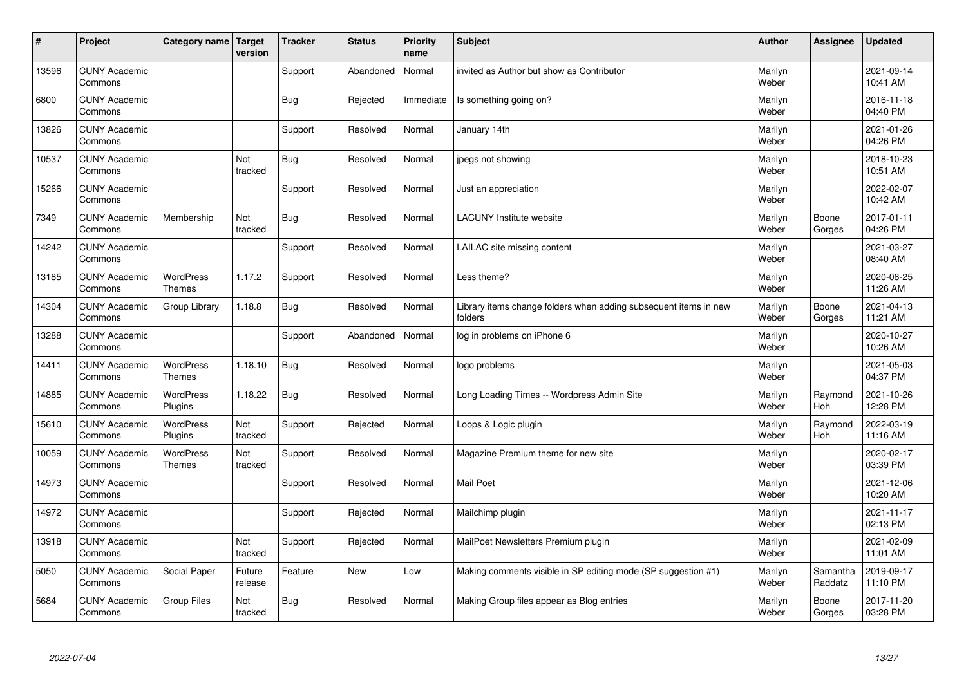| $\sharp$ | Project                         | Category name   Target            | version           | <b>Tracker</b> | <b>Status</b> | <b>Priority</b><br>name | <b>Subject</b>                                                              | <b>Author</b>    | Assignee              | <b>Updated</b>         |
|----------|---------------------------------|-----------------------------------|-------------------|----------------|---------------|-------------------------|-----------------------------------------------------------------------------|------------------|-----------------------|------------------------|
| 13596    | <b>CUNY Academic</b><br>Commons |                                   |                   | Support        | Abandoned     | Normal                  | invited as Author but show as Contributor                                   | Marilyn<br>Weber |                       | 2021-09-14<br>10:41 AM |
| 6800     | <b>CUNY Academic</b><br>Commons |                                   |                   | Bug            | Rejected      | Immediate               | Is something going on?                                                      | Marilyn<br>Weber |                       | 2016-11-18<br>04:40 PM |
| 13826    | <b>CUNY Academic</b><br>Commons |                                   |                   | Support        | Resolved      | Normal                  | January 14th                                                                | Marilyn<br>Weber |                       | 2021-01-26<br>04:26 PM |
| 10537    | <b>CUNY Academic</b><br>Commons |                                   | Not<br>tracked    | <b>Bug</b>     | Resolved      | Normal                  | jpegs not showing                                                           | Marilyn<br>Weber |                       | 2018-10-23<br>10:51 AM |
| 15266    | <b>CUNY Academic</b><br>Commons |                                   |                   | Support        | Resolved      | Normal                  | Just an appreciation                                                        | Marilyn<br>Weber |                       | 2022-02-07<br>10:42 AM |
| 7349     | <b>CUNY Academic</b><br>Commons | Membership                        | Not<br>tracked    | Bug            | Resolved      | Normal                  | <b>LACUNY Institute website</b>                                             | Marilyn<br>Weber | Boone<br>Gorges       | 2017-01-11<br>04:26 PM |
| 14242    | <b>CUNY Academic</b><br>Commons |                                   |                   | Support        | Resolved      | Normal                  | LAILAC site missing content                                                 | Marilyn<br>Weber |                       | 2021-03-27<br>08:40 AM |
| 13185    | <b>CUNY Academic</b><br>Commons | WordPress<br><b>Themes</b>        | 1.17.2            | Support        | Resolved      | Normal                  | Less theme?                                                                 | Marilyn<br>Weber |                       | 2020-08-25<br>11:26 AM |
| 14304    | <b>CUNY Academic</b><br>Commons | Group Library                     | 1.18.8            | Bug            | Resolved      | Normal                  | Library items change folders when adding subsequent items in new<br>folders | Marilyn<br>Weber | Boone<br>Gorges       | 2021-04-13<br>11:21 AM |
| 13288    | <b>CUNY Academic</b><br>Commons |                                   |                   | Support        | Abandoned     | Normal                  | log in problems on iPhone 6                                                 | Marilyn<br>Weber |                       | 2020-10-27<br>10:26 AM |
| 14411    | <b>CUNY Academic</b><br>Commons | <b>WordPress</b><br><b>Themes</b> | 1.18.10           | Bug            | Resolved      | Normal                  | logo problems                                                               | Marilyn<br>Weber |                       | 2021-05-03<br>04:37 PM |
| 14885    | <b>CUNY Academic</b><br>Commons | <b>WordPress</b><br>Plugins       | 1.18.22           | <b>Bug</b>     | Resolved      | Normal                  | Long Loading Times -- Wordpress Admin Site                                  | Marilyn<br>Weber | Raymond<br><b>Hoh</b> | 2021-10-26<br>12:28 PM |
| 15610    | <b>CUNY Academic</b><br>Commons | <b>WordPress</b><br>Plugins       | Not<br>tracked    | Support        | Rejected      | Normal                  | Loops & Logic plugin                                                        | Marilyn<br>Weber | Raymond<br>Hoh        | 2022-03-19<br>11:16 AM |
| 10059    | <b>CUNY Academic</b><br>Commons | <b>WordPress</b><br><b>Themes</b> | Not<br>tracked    | Support        | Resolved      | Normal                  | Magazine Premium theme for new site                                         | Marilyn<br>Weber |                       | 2020-02-17<br>03:39 PM |
| 14973    | <b>CUNY Academic</b><br>Commons |                                   |                   | Support        | Resolved      | Normal                  | <b>Mail Poet</b>                                                            | Marilyn<br>Weber |                       | 2021-12-06<br>10:20 AM |
| 14972    | <b>CUNY Academic</b><br>Commons |                                   |                   | Support        | Rejected      | Normal                  | Mailchimp plugin                                                            | Marilyn<br>Weber |                       | 2021-11-17<br>02:13 PM |
| 13918    | <b>CUNY Academic</b><br>Commons |                                   | Not<br>tracked    | Support        | Rejected      | Normal                  | MailPoet Newsletters Premium plugin                                         | Marilyn<br>Weber |                       | 2021-02-09<br>11:01 AM |
| 5050     | <b>CUNY Academic</b><br>Commons | Social Paper                      | Future<br>release | Feature        | New           | Low                     | Making comments visible in SP editing mode (SP suggestion #1)               | Marilyn<br>Weber | Samantha<br>Raddatz   | 2019-09-17<br>11:10 PM |
| 5684     | <b>CUNY Academic</b><br>Commons | <b>Group Files</b>                | Not<br>tracked    | Bug            | Resolved      | Normal                  | Making Group files appear as Blog entries                                   | Marilyn<br>Weber | Boone<br>Gorges       | 2017-11-20<br>03:28 PM |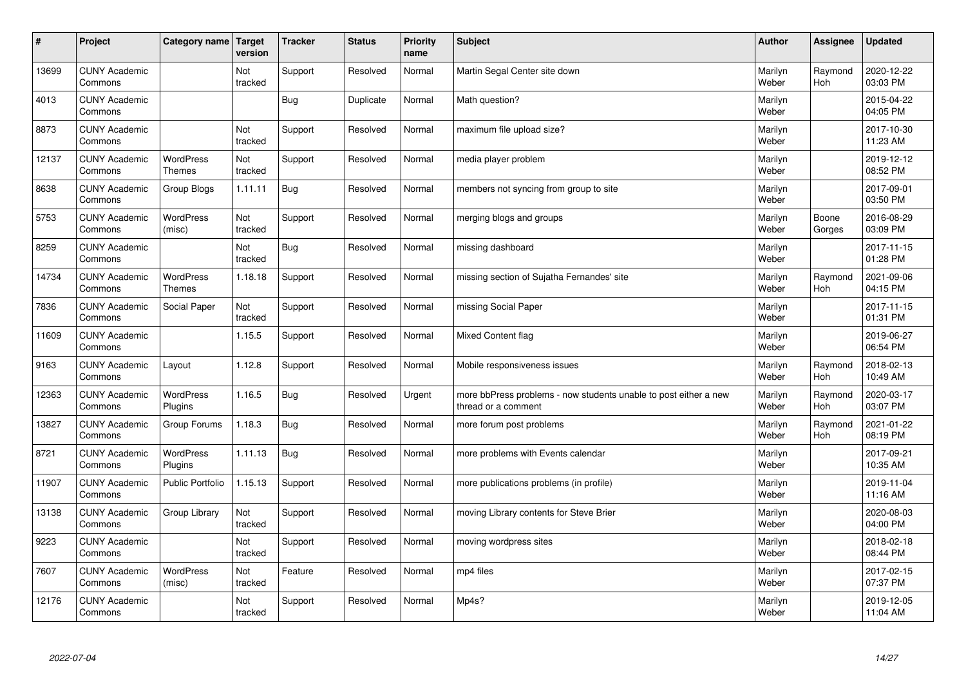| $\sharp$ | Project                         | Category name   Target            | version        | <b>Tracker</b> | <b>Status</b> | <b>Priority</b><br>name | <b>Subject</b>                                                                          | <b>Author</b>    | Assignee              | <b>Updated</b>         |
|----------|---------------------------------|-----------------------------------|----------------|----------------|---------------|-------------------------|-----------------------------------------------------------------------------------------|------------------|-----------------------|------------------------|
| 13699    | <b>CUNY Academic</b><br>Commons |                                   | Not<br>tracked | Support        | Resolved      | Normal                  | Martin Segal Center site down                                                           | Marilyn<br>Weber | Raymond<br><b>Hoh</b> | 2020-12-22<br>03:03 PM |
| 4013     | <b>CUNY Academic</b><br>Commons |                                   |                | Bug            | Duplicate     | Normal                  | Math question?                                                                          | Marilyn<br>Weber |                       | 2015-04-22<br>04:05 PM |
| 8873     | <b>CUNY Academic</b><br>Commons |                                   | Not<br>tracked | Support        | Resolved      | Normal                  | maximum file upload size?                                                               | Marilyn<br>Weber |                       | 2017-10-30<br>11:23 AM |
| 12137    | <b>CUNY Academic</b><br>Commons | <b>WordPress</b><br><b>Themes</b> | Not<br>tracked | Support        | Resolved      | Normal                  | media player problem                                                                    | Marilyn<br>Weber |                       | 2019-12-12<br>08:52 PM |
| 8638     | <b>CUNY Academic</b><br>Commons | Group Blogs                       | 1.11.11        | Bug            | Resolved      | Normal                  | members not syncing from group to site                                                  | Marilyn<br>Weber |                       | 2017-09-01<br>03:50 PM |
| 5753     | <b>CUNY Academic</b><br>Commons | WordPress<br>(misc)               | Not<br>tracked | Support        | Resolved      | Normal                  | merging blogs and groups                                                                | Marilyn<br>Weber | Boone<br>Gorges       | 2016-08-29<br>03:09 PM |
| 8259     | <b>CUNY Academic</b><br>Commons |                                   | Not<br>tracked | Bug            | Resolved      | Normal                  | missing dashboard                                                                       | Marilyn<br>Weber |                       | 2017-11-15<br>01:28 PM |
| 14734    | <b>CUNY Academic</b><br>Commons | WordPress<br><b>Themes</b>        | 1.18.18        | Support        | Resolved      | Normal                  | missing section of Sujatha Fernandes' site                                              | Marilyn<br>Weber | Raymond<br>Hoh        | 2021-09-06<br>04:15 PM |
| 7836     | <b>CUNY Academic</b><br>Commons | Social Paper                      | Not<br>tracked | Support        | Resolved      | Normal                  | missing Social Paper                                                                    | Marilyn<br>Weber |                       | 2017-11-15<br>01:31 PM |
| 11609    | <b>CUNY Academic</b><br>Commons |                                   | 1.15.5         | Support        | Resolved      | Normal                  | Mixed Content flag                                                                      | Marilyn<br>Weber |                       | 2019-06-27<br>06:54 PM |
| 9163     | <b>CUNY Academic</b><br>Commons | Layout                            | 1.12.8         | Support        | Resolved      | Normal                  | Mobile responsiveness issues                                                            | Marilyn<br>Weber | Raymond<br>Hoh        | 2018-02-13<br>10:49 AM |
| 12363    | <b>CUNY Academic</b><br>Commons | <b>WordPress</b><br>Plugins       | 1.16.5         | Bug            | Resolved      | Urgent                  | more bbPress problems - now students unable to post either a new<br>thread or a comment | Marilyn<br>Weber | Raymond<br>Hoh        | 2020-03-17<br>03:07 PM |
| 13827    | <b>CUNY Academic</b><br>Commons | Group Forums                      | 1.18.3         | Bug            | Resolved      | Normal                  | more forum post problems                                                                | Marilyn<br>Weber | Raymond<br>Hoh        | 2021-01-22<br>08:19 PM |
| 8721     | <b>CUNY Academic</b><br>Commons | WordPress<br>Plugins              | 1.11.13        | Bug            | Resolved      | Normal                  | more problems with Events calendar                                                      | Marilyn<br>Weber |                       | 2017-09-21<br>10:35 AM |
| 11907    | <b>CUNY Academic</b><br>Commons | <b>Public Portfolio</b>           | 1.15.13        | Support        | Resolved      | Normal                  | more publications problems (in profile)                                                 | Marilyn<br>Weber |                       | 2019-11-04<br>11:16 AM |
| 13138    | <b>CUNY Academic</b><br>Commons | Group Library                     | Not<br>tracked | Support        | Resolved      | Normal                  | moving Library contents for Steve Brier                                                 | Marilyn<br>Weber |                       | 2020-08-03<br>04:00 PM |
| 9223     | <b>CUNY Academic</b><br>Commons |                                   | Not<br>tracked | Support        | Resolved      | Normal                  | moving wordpress sites                                                                  | Marilyn<br>Weber |                       | 2018-02-18<br>08:44 PM |
| 7607     | <b>CUNY Academic</b><br>Commons | <b>WordPress</b><br>(misc)        | Not<br>tracked | Feature        | Resolved      | Normal                  | mp4 files                                                                               | Marilyn<br>Weber |                       | 2017-02-15<br>07:37 PM |
| 12176    | <b>CUNY Academic</b><br>Commons |                                   | Not<br>tracked | Support        | Resolved      | Normal                  | Mp4s?                                                                                   | Marilyn<br>Weber |                       | 2019-12-05<br>11:04 AM |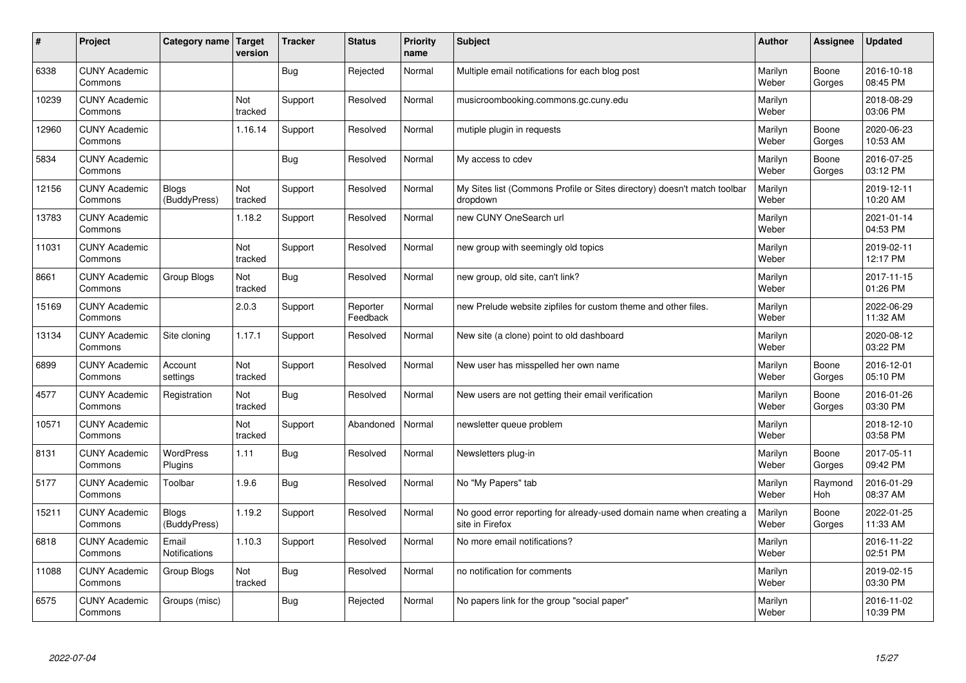| #     | Project                         | Category name   Target        | version        | <b>Tracker</b> | <b>Status</b>        | <b>Priority</b><br>name | <b>Subject</b>                                                                          | <b>Author</b>    | Assignee              | <b>Updated</b>         |
|-------|---------------------------------|-------------------------------|----------------|----------------|----------------------|-------------------------|-----------------------------------------------------------------------------------------|------------------|-----------------------|------------------------|
| 6338  | <b>CUNY Academic</b><br>Commons |                               |                | Bug            | Rejected             | Normal                  | Multiple email notifications for each blog post                                         | Marilyn<br>Weber | Boone<br>Gorges       | 2016-10-18<br>08:45 PM |
| 10239 | <b>CUNY Academic</b><br>Commons |                               | Not<br>tracked | Support        | Resolved             | Normal                  | musicroombooking.commons.gc.cuny.edu                                                    | Marilyn<br>Weber |                       | 2018-08-29<br>03:06 PM |
| 12960 | <b>CUNY Academic</b><br>Commons |                               | 1.16.14        | Support        | Resolved             | Normal                  | mutiple plugin in requests                                                              | Marilyn<br>Weber | Boone<br>Gorges       | 2020-06-23<br>10:53 AM |
| 5834  | <b>CUNY Academic</b><br>Commons |                               |                | Bug            | Resolved             | Normal                  | My access to cdev                                                                       | Marilyn<br>Weber | Boone<br>Gorges       | 2016-07-25<br>03:12 PM |
| 12156 | <b>CUNY Academic</b><br>Commons | <b>Blogs</b><br>(BuddyPress)  | Not<br>tracked | Support        | Resolved             | Normal                  | My Sites list (Commons Profile or Sites directory) doesn't match toolbar<br>dropdown    | Marilyn<br>Weber |                       | 2019-12-11<br>10:20 AM |
| 13783 | <b>CUNY Academic</b><br>Commons |                               | 1.18.2         | Support        | Resolved             | Normal                  | new CUNY OneSearch url                                                                  | Marilyn<br>Weber |                       | 2021-01-14<br>04:53 PM |
| 11031 | <b>CUNY Academic</b><br>Commons |                               | Not<br>tracked | Support        | Resolved             | Normal                  | new group with seemingly old topics                                                     | Marilyn<br>Weber |                       | 2019-02-11<br>12:17 PM |
| 8661  | <b>CUNY Academic</b><br>Commons | Group Blogs                   | Not<br>tracked | Bug            | Resolved             | Normal                  | new group, old site, can't link?                                                        | Marilyn<br>Weber |                       | 2017-11-15<br>01:26 PM |
| 15169 | <b>CUNY Academic</b><br>Commons |                               | 2.0.3          | Support        | Reporter<br>Feedback | Normal                  | new Prelude website zipfiles for custom theme and other files.                          | Marilyn<br>Weber |                       | 2022-06-29<br>11:32 AM |
| 13134 | <b>CUNY Academic</b><br>Commons | Site cloning                  | 1.17.1         | Support        | Resolved             | Normal                  | New site (a clone) point to old dashboard                                               | Marilyn<br>Weber |                       | 2020-08-12<br>03:22 PM |
| 6899  | <b>CUNY Academic</b><br>Commons | Account<br>settings           | Not<br>tracked | Support        | Resolved             | Normal                  | New user has misspelled her own name                                                    | Marilyn<br>Weber | Boone<br>Gorges       | 2016-12-01<br>05:10 PM |
| 4577  | <b>CUNY Academic</b><br>Commons | Registration                  | Not<br>tracked | Bug            | Resolved             | Normal                  | New users are not getting their email verification                                      | Marilyn<br>Weber | Boone<br>Gorges       | 2016-01-26<br>03:30 PM |
| 10571 | <b>CUNY Academic</b><br>Commons |                               | Not<br>tracked | Support        | Abandoned            | Normal                  | newsletter queue problem                                                                | Marilyn<br>Weber |                       | 2018-12-10<br>03:58 PM |
| 8131  | <b>CUNY Academic</b><br>Commons | <b>WordPress</b><br>Plugins   | 1.11           | Bug            | Resolved             | Normal                  | Newsletters plug-in                                                                     | Marilyn<br>Weber | Boone<br>Gorges       | 2017-05-11<br>09:42 PM |
| 5177  | <b>CUNY Academic</b><br>Commons | Toolbar                       | 1.9.6          | <b>Bug</b>     | Resolved             | Normal                  | No "My Papers" tab                                                                      | Marilyn<br>Weber | Raymond<br><b>Hoh</b> | 2016-01-29<br>08:37 AM |
| 15211 | <b>CUNY Academic</b><br>Commons | <b>Blogs</b><br>(BuddyPress)  | 1.19.2         | Support        | Resolved             | Normal                  | No good error reporting for already-used domain name when creating a<br>site in Firefox | Marilyn<br>Weber | Boone<br>Gorges       | 2022-01-25<br>11:33 AM |
| 6818  | <b>CUNY Academic</b><br>Commons | Email<br><b>Notifications</b> | 1.10.3         | Support        | Resolved             | Normal                  | No more email notifications?                                                            | Marilyn<br>Weber |                       | 2016-11-22<br>02:51 PM |
| 11088 | <b>CUNY Academic</b><br>Commons | Group Blogs                   | Not<br>tracked | Bug            | Resolved             | Normal                  | no notification for comments                                                            | Marilyn<br>Weber |                       | 2019-02-15<br>03:30 PM |
| 6575  | <b>CUNY Academic</b><br>Commons | Groups (misc)                 |                | Bug            | Rejected             | Normal                  | No papers link for the group "social paper"                                             | Marilyn<br>Weber |                       | 2016-11-02<br>10:39 PM |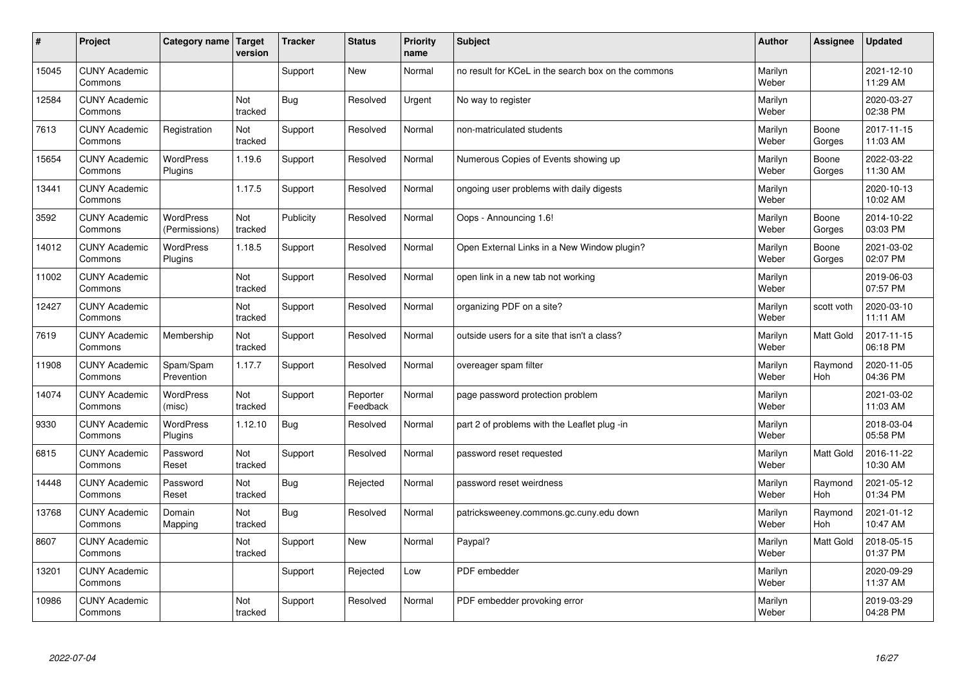| #     | Project                         | Category name   Target            | version        | <b>Tracker</b> | <b>Status</b>        | <b>Priority</b><br>name | <b>Subject</b>                                      | <b>Author</b>    | Assignee              | Updated                |
|-------|---------------------------------|-----------------------------------|----------------|----------------|----------------------|-------------------------|-----------------------------------------------------|------------------|-----------------------|------------------------|
| 15045 | <b>CUNY Academic</b><br>Commons |                                   |                | Support        | <b>New</b>           | Normal                  | no result for KCeL in the search box on the commons | Marilyn<br>Weber |                       | 2021-12-10<br>11:29 AM |
| 12584 | <b>CUNY Academic</b><br>Commons |                                   | Not<br>tracked | Bug            | Resolved             | Urgent                  | No way to register                                  | Marilyn<br>Weber |                       | 2020-03-27<br>02:38 PM |
| 7613  | <b>CUNY Academic</b><br>Commons | Registration                      | Not<br>tracked | Support        | Resolved             | Normal                  | non-matriculated students                           | Marilyn<br>Weber | Boone<br>Gorges       | 2017-11-15<br>11:03 AM |
| 15654 | <b>CUNY Academic</b><br>Commons | <b>WordPress</b><br>Plugins       | 1.19.6         | Support        | Resolved             | Normal                  | Numerous Copies of Events showing up                | Marilyn<br>Weber | Boone<br>Gorges       | 2022-03-22<br>11:30 AM |
| 13441 | <b>CUNY Academic</b><br>Commons |                                   | 1.17.5         | Support        | Resolved             | Normal                  | ongoing user problems with daily digests            | Marilyn<br>Weber |                       | 2020-10-13<br>10:02 AM |
| 3592  | <b>CUNY Academic</b><br>Commons | <b>WordPress</b><br>(Permissions) | Not<br>tracked | Publicity      | Resolved             | Normal                  | Oops - Announcing 1.6!                              | Marilyn<br>Weber | Boone<br>Gorges       | 2014-10-22<br>03:03 PM |
| 14012 | <b>CUNY Academic</b><br>Commons | <b>WordPress</b><br>Plugins       | 1.18.5         | Support        | Resolved             | Normal                  | Open External Links in a New Window plugin?         | Marilyn<br>Weber | Boone<br>Gorges       | 2021-03-02<br>02:07 PM |
| 11002 | <b>CUNY Academic</b><br>Commons |                                   | Not<br>tracked | Support        | Resolved             | Normal                  | open link in a new tab not working                  | Marilyn<br>Weber |                       | 2019-06-03<br>07:57 PM |
| 12427 | <b>CUNY Academic</b><br>Commons |                                   | Not<br>tracked | Support        | Resolved             | Normal                  | organizing PDF on a site?                           | Marilyn<br>Weber | scott voth            | 2020-03-10<br>11:11 AM |
| 7619  | <b>CUNY Academic</b><br>Commons | Membership                        | Not<br>tracked | Support        | Resolved             | Normal                  | outside users for a site that isn't a class?        | Marilyn<br>Weber | <b>Matt Gold</b>      | 2017-11-15<br>06:18 PM |
| 11908 | <b>CUNY Academic</b><br>Commons | Spam/Spam<br>Prevention           | 1.17.7         | Support        | Resolved             | Normal                  | overeager spam filter                               | Marilyn<br>Weber | Raymond<br><b>Hoh</b> | 2020-11-05<br>04:36 PM |
| 14074 | <b>CUNY Academic</b><br>Commons | <b>WordPress</b><br>(misc)        | Not<br>tracked | Support        | Reporter<br>Feedback | Normal                  | page password protection problem                    | Marilyn<br>Weber |                       | 2021-03-02<br>11:03 AM |
| 9330  | <b>CUNY Academic</b><br>Commons | <b>WordPress</b><br>Plugins       | 1.12.10        | Bug            | Resolved             | Normal                  | part 2 of problems with the Leaflet plug -in        | Marilyn<br>Weber |                       | 2018-03-04<br>05:58 PM |
| 6815  | <b>CUNY Academic</b><br>Commons | Password<br>Reset                 | Not<br>tracked | Support        | Resolved             | Normal                  | password reset requested                            | Marilyn<br>Weber | <b>Matt Gold</b>      | 2016-11-22<br>10:30 AM |
| 14448 | <b>CUNY Academic</b><br>Commons | Password<br>Reset                 | Not<br>tracked | Bug            | Rejected             | Normal                  | password reset weirdness                            | Marilyn<br>Weber | Raymond<br><b>Hoh</b> | 2021-05-12<br>01:34 PM |
| 13768 | <b>CUNY Academic</b><br>Commons | Domain<br>Mapping                 | Not<br>tracked | Bug            | Resolved             | Normal                  | patricksweeney.commons.gc.cuny.edu down             | Marilyn<br>Weber | Raymond<br>Hoh        | 2021-01-12<br>10:47 AM |
| 8607  | <b>CUNY Academic</b><br>Commons |                                   | Not<br>tracked | Support        | <b>New</b>           | Normal                  | Paypal?                                             | Marilyn<br>Weber | <b>Matt Gold</b>      | 2018-05-15<br>01:37 PM |
| 13201 | <b>CUNY Academic</b><br>Commons |                                   |                | Support        | Rejected             | Low                     | PDF embedder                                        | Marilyn<br>Weber |                       | 2020-09-29<br>11:37 AM |
| 10986 | <b>CUNY Academic</b><br>Commons |                                   | Not<br>tracked | Support        | Resolved             | Normal                  | PDF embedder provoking error                        | Marilyn<br>Weber |                       | 2019-03-29<br>04:28 PM |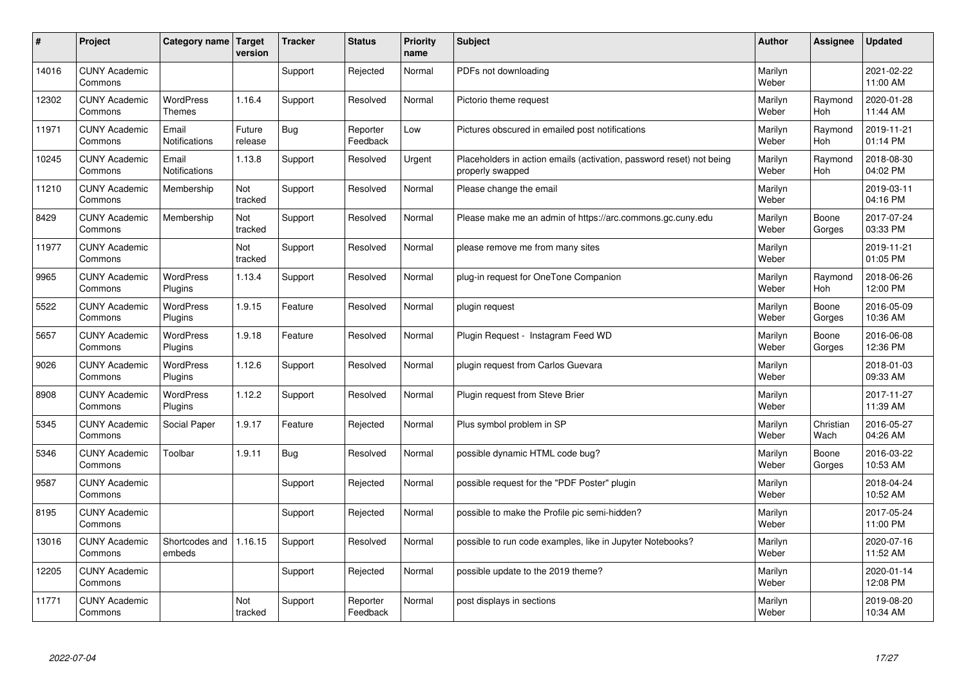| $\sharp$ | Project                         | Category name   Target            | version           | <b>Tracker</b> | <b>Status</b>        | <b>Priority</b><br>name | <b>Subject</b>                                                                           | <b>Author</b>    | Assignee              | <b>Updated</b>         |
|----------|---------------------------------|-----------------------------------|-------------------|----------------|----------------------|-------------------------|------------------------------------------------------------------------------------------|------------------|-----------------------|------------------------|
| 14016    | <b>CUNY Academic</b><br>Commons |                                   |                   | Support        | Rejected             | Normal                  | PDFs not downloading                                                                     | Marilyn<br>Weber |                       | 2021-02-22<br>11:00 AM |
| 12302    | <b>CUNY Academic</b><br>Commons | <b>WordPress</b><br><b>Themes</b> | 1.16.4            | Support        | Resolved             | Normal                  | Pictorio theme request                                                                   | Marilyn<br>Weber | Raymond<br><b>Hoh</b> | 2020-01-28<br>11:44 AM |
| 11971    | <b>CUNY Academic</b><br>Commons | Email<br>Notifications            | Future<br>release | Bug            | Reporter<br>Feedback | Low                     | Pictures obscured in emailed post notifications                                          | Marilyn<br>Weber | Raymond<br>Hoh        | 2019-11-21<br>01:14 PM |
| 10245    | <b>CUNY Academic</b><br>Commons | Email<br>Notifications            | 1.13.8            | Support        | Resolved             | Urgent                  | Placeholders in action emails (activation, password reset) not being<br>properly swapped | Marilyn<br>Weber | Raymond<br>Hoh        | 2018-08-30<br>04:02 PM |
| 11210    | <b>CUNY Academic</b><br>Commons | Membership                        | Not<br>tracked    | Support        | Resolved             | Normal                  | Please change the email                                                                  | Marilyn<br>Weber |                       | 2019-03-11<br>04:16 PM |
| 8429     | <b>CUNY Academic</b><br>Commons | Membership                        | Not<br>tracked    | Support        | Resolved             | Normal                  | Please make me an admin of https://arc.commons.gc.cuny.edu                               | Marilyn<br>Weber | Boone<br>Gorges       | 2017-07-24<br>03:33 PM |
| 11977    | <b>CUNY Academic</b><br>Commons |                                   | Not<br>tracked    | Support        | Resolved             | Normal                  | please remove me from many sites                                                         | Marilyn<br>Weber |                       | 2019-11-21<br>01:05 PM |
| 9965     | <b>CUNY Academic</b><br>Commons | WordPress<br>Plugins              | 1.13.4            | Support        | Resolved             | Normal                  | plug-in request for OneTone Companion                                                    | Marilyn<br>Weber | Raymond<br>Hoh        | 2018-06-26<br>12:00 PM |
| 5522     | <b>CUNY Academic</b><br>Commons | WordPress<br>Plugins              | 1.9.15            | Feature        | Resolved             | Normal                  | plugin request                                                                           | Marilyn<br>Weber | Boone<br>Gorges       | 2016-05-09<br>10:36 AM |
| 5657     | <b>CUNY Academic</b><br>Commons | WordPress<br>Plugins              | 1.9.18            | Feature        | Resolved             | Normal                  | Plugin Reguest - Instagram Feed WD                                                       | Marilyn<br>Weber | Boone<br>Gorges       | 2016-06-08<br>12:36 PM |
| 9026     | <b>CUNY Academic</b><br>Commons | <b>WordPress</b><br>Plugins       | 1.12.6            | Support        | Resolved             | Normal                  | plugin request from Carlos Guevara                                                       | Marilyn<br>Weber |                       | 2018-01-03<br>09:33 AM |
| 8908     | <b>CUNY Academic</b><br>Commons | <b>WordPress</b><br>Plugins       | 1.12.2            | Support        | Resolved             | Normal                  | Plugin request from Steve Brier                                                          | Marilyn<br>Weber |                       | 2017-11-27<br>11:39 AM |
| 5345     | <b>CUNY Academic</b><br>Commons | Social Paper                      | 1.9.17            | Feature        | Rejected             | Normal                  | Plus symbol problem in SP                                                                | Marilyn<br>Weber | Christian<br>Wach     | 2016-05-27<br>04:26 AM |
| 5346     | <b>CUNY Academic</b><br>Commons | Toolbar                           | 1.9.11            | <b>Bug</b>     | Resolved             | Normal                  | possible dynamic HTML code bug?                                                          | Marilyn<br>Weber | Boone<br>Gorges       | 2016-03-22<br>10:53 AM |
| 9587     | <b>CUNY Academic</b><br>Commons |                                   |                   | Support        | Rejected             | Normal                  | possible request for the "PDF Poster" plugin                                             | Marilyn<br>Weber |                       | 2018-04-24<br>10:52 AM |
| 8195     | <b>CUNY Academic</b><br>Commons |                                   |                   | Support        | Rejected             | Normal                  | possible to make the Profile pic semi-hidden?                                            | Marilyn<br>Weber |                       | 2017-05-24<br>11:00 PM |
| 13016    | <b>CUNY Academic</b><br>Commons | Shortcodes and<br>embeds          | 1.16.15           | Support        | Resolved             | Normal                  | possible to run code examples, like in Jupyter Notebooks?                                | Marilyn<br>Weber |                       | 2020-07-16<br>11:52 AM |
| 12205    | <b>CUNY Academic</b><br>Commons |                                   |                   | Support        | Rejected             | Normal                  | possible update to the 2019 theme?                                                       | Marilyn<br>Weber |                       | 2020-01-14<br>12:08 PM |
| 11771    | <b>CUNY Academic</b><br>Commons |                                   | Not<br>tracked    | Support        | Reporter<br>Feedback | Normal                  | post displays in sections                                                                | Marilyn<br>Weber |                       | 2019-08-20<br>10:34 AM |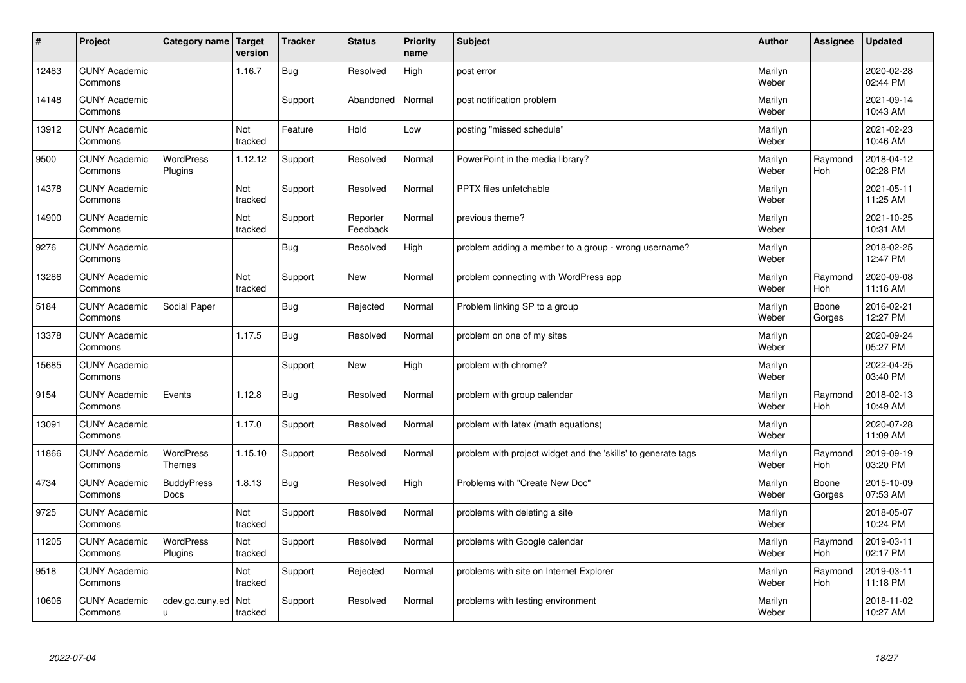| #     | Project                         | Category name   Target           | version               | <b>Tracker</b> | <b>Status</b>        | <b>Priority</b><br>name | <b>Subject</b>                                                | <b>Author</b>    | Assignee              | <b>Updated</b>         |
|-------|---------------------------------|----------------------------------|-----------------------|----------------|----------------------|-------------------------|---------------------------------------------------------------|------------------|-----------------------|------------------------|
| 12483 | <b>CUNY Academic</b><br>Commons |                                  | 1.16.7                | <b>Bug</b>     | Resolved             | High                    | post error                                                    | Marilyn<br>Weber |                       | 2020-02-28<br>02:44 PM |
| 14148 | <b>CUNY Academic</b><br>Commons |                                  |                       | Support        | Abandoned            | Normal                  | post notification problem                                     | Marilyn<br>Weber |                       | 2021-09-14<br>10:43 AM |
| 13912 | <b>CUNY Academic</b><br>Commons |                                  | Not<br>tracked        | Feature        | Hold                 | Low                     | posting "missed schedule"                                     | Marilyn<br>Weber |                       | 2021-02-23<br>10:46 AM |
| 9500  | <b>CUNY Academic</b><br>Commons | <b>WordPress</b><br>Plugins      | 1.12.12               | Support        | Resolved             | Normal                  | PowerPoint in the media library?                              | Marilyn<br>Weber | Raymond<br>Hoh        | 2018-04-12<br>02:28 PM |
| 14378 | <b>CUNY Academic</b><br>Commons |                                  | Not<br>tracked        | Support        | Resolved             | Normal                  | <b>PPTX</b> files unfetchable                                 | Marilyn<br>Weber |                       | 2021-05-11<br>11:25 AM |
| 14900 | <b>CUNY Academic</b><br>Commons |                                  | <b>Not</b><br>tracked | Support        | Reporter<br>Feedback | Normal                  | previous theme?                                               | Marilyn<br>Weber |                       | 2021-10-25<br>10:31 AM |
| 9276  | <b>CUNY Academic</b><br>Commons |                                  |                       | <b>Bug</b>     | Resolved             | High                    | problem adding a member to a group - wrong username?          | Marilyn<br>Weber |                       | 2018-02-25<br>12:47 PM |
| 13286 | <b>CUNY Academic</b><br>Commons |                                  | Not<br>tracked        | Support        | <b>New</b>           | Normal                  | problem connecting with WordPress app                         | Marilyn<br>Weber | Raymond<br>Hoh        | 2020-09-08<br>11:16 AM |
| 5184  | <b>CUNY Academic</b><br>Commons | Social Paper                     |                       | <b>Bug</b>     | Rejected             | Normal                  | Problem linking SP to a group                                 | Marilyn<br>Weber | Boone<br>Gorges       | 2016-02-21<br>12:27 PM |
| 13378 | <b>CUNY Academic</b><br>Commons |                                  | 1.17.5                | Bug            | Resolved             | Normal                  | problem on one of my sites                                    | Marilyn<br>Weber |                       | 2020-09-24<br>05:27 PM |
| 15685 | <b>CUNY Academic</b><br>Commons |                                  |                       | Support        | New                  | High                    | problem with chrome?                                          | Marilyn<br>Weber |                       | 2022-04-25<br>03:40 PM |
| 9154  | <b>CUNY Academic</b><br>Commons | Events                           | 1.12.8                | <b>Bug</b>     | Resolved             | Normal                  | problem with group calendar                                   | Marilyn<br>Weber | Raymond<br>Hoh        | 2018-02-13<br>10:49 AM |
| 13091 | <b>CUNY Academic</b><br>Commons |                                  | 1.17.0                | Support        | Resolved             | Normal                  | problem with latex (math equations)                           | Marilyn<br>Weber |                       | 2020-07-28<br>11:09 AM |
| 11866 | <b>CUNY Academic</b><br>Commons | WordPress<br><b>Themes</b>       | 1.15.10               | Support        | Resolved             | Normal                  | problem with project widget and the 'skills' to generate tags | Marilyn<br>Weber | Raymond<br><b>Hoh</b> | 2019-09-19<br>03:20 PM |
| 4734  | <b>CUNY Academic</b><br>Commons | <b>BuddyPress</b><br><b>Docs</b> | 1.8.13                | <b>Bug</b>     | Resolved             | High                    | Problems with "Create New Doc"                                | Marilyn<br>Weber | Boone<br>Gorges       | 2015-10-09<br>07:53 AM |
| 9725  | <b>CUNY Academic</b><br>Commons |                                  | Not<br>tracked        | Support        | Resolved             | Normal                  | problems with deleting a site                                 | Marilyn<br>Weber |                       | 2018-05-07<br>10:24 PM |
| 11205 | <b>CUNY Academic</b><br>Commons | WordPress<br>Plugins             | Not<br>tracked        | Support        | Resolved             | Normal                  | problems with Google calendar                                 | Marilyn<br>Weber | Raymond<br>Hoh        | 2019-03-11<br>02:17 PM |
| 9518  | <b>CUNY Academic</b><br>Commons |                                  | Not<br>tracked        | Support        | Rejected             | Normal                  | problems with site on Internet Explorer                       | Marilyn<br>Weber | Raymond<br><b>Hoh</b> | 2019-03-11<br>11:18 PM |
| 10606 | <b>CUNY Academic</b><br>Commons | cdev.gc.cuny.ed<br>ū             | Not<br>tracked        | Support        | Resolved             | Normal                  | problems with testing environment                             | Marilyn<br>Weber |                       | 2018-11-02<br>10:27 AM |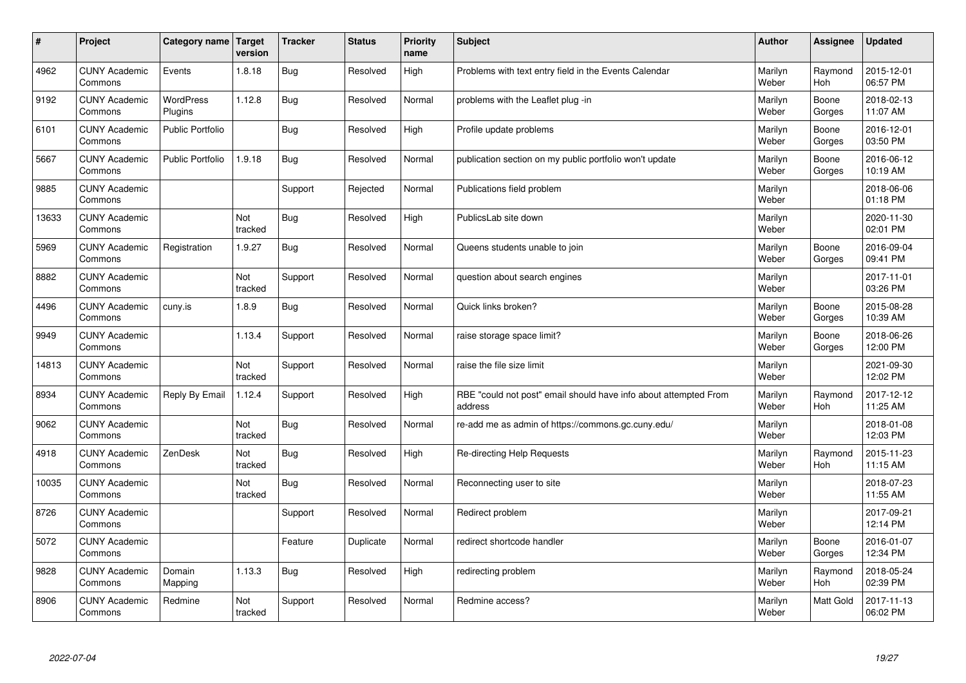| #     | Project                         | <b>Category name</b>        | Target<br>version | <b>Tracker</b> | <b>Status</b> | <b>Priority</b><br>name | <b>Subject</b>                                                              | <b>Author</b>    | <b>Assignee</b> | <b>Updated</b>         |
|-------|---------------------------------|-----------------------------|-------------------|----------------|---------------|-------------------------|-----------------------------------------------------------------------------|------------------|-----------------|------------------------|
| 4962  | <b>CUNY Academic</b><br>Commons | Events                      | 1.8.18            | Bug            | Resolved      | High                    | Problems with text entry field in the Events Calendar                       | Marilyn<br>Weber | Raymond<br>Hoh  | 2015-12-01<br>06:57 PM |
| 9192  | <b>CUNY Academic</b><br>Commons | <b>WordPress</b><br>Plugins | 1.12.8            | Bug            | Resolved      | Normal                  | problems with the Leaflet plug -in                                          | Marilyn<br>Weber | Boone<br>Gorges | 2018-02-13<br>11:07 AM |
| 6101  | <b>CUNY Academic</b><br>Commons | Public Portfolio            |                   | <b>Bug</b>     | Resolved      | High                    | Profile update problems                                                     | Marilyn<br>Weber | Boone<br>Gorges | 2016-12-01<br>03:50 PM |
| 5667  | <b>CUNY Academic</b><br>Commons | <b>Public Portfolio</b>     | 1.9.18            | <b>Bug</b>     | Resolved      | Normal                  | publication section on my public portfolio won't update                     | Marilyn<br>Weber | Boone<br>Gorges | 2016-06-12<br>10:19 AM |
| 9885  | <b>CUNY Academic</b><br>Commons |                             |                   | Support        | Rejected      | Normal                  | Publications field problem                                                  | Marilyn<br>Weber |                 | 2018-06-06<br>01:18 PM |
| 13633 | <b>CUNY Academic</b><br>Commons |                             | Not<br>tracked    | <b>Bug</b>     | Resolved      | High                    | PublicsLab site down                                                        | Marilyn<br>Weber |                 | 2020-11-30<br>02:01 PM |
| 5969  | <b>CUNY Academic</b><br>Commons | Registration                | 1.9.27            | <b>Bug</b>     | Resolved      | Normal                  | Queens students unable to join                                              | Marilyn<br>Weber | Boone<br>Gorges | 2016-09-04<br>09:41 PM |
| 8882  | <b>CUNY Academic</b><br>Commons |                             | Not<br>tracked    | Support        | Resolved      | Normal                  | question about search engines                                               | Marilyn<br>Weber |                 | 2017-11-01<br>03:26 PM |
| 4496  | <b>CUNY Academic</b><br>Commons | cuny.is                     | 1.8.9             | Bug            | Resolved      | Normal                  | Quick links broken?                                                         | Marilyn<br>Weber | Boone<br>Gorges | 2015-08-28<br>10:39 AM |
| 9949  | <b>CUNY Academic</b><br>Commons |                             | 1.13.4            | Support        | Resolved      | Normal                  | raise storage space limit?                                                  | Marilyn<br>Weber | Boone<br>Gorges | 2018-06-26<br>12:00 PM |
| 14813 | <b>CUNY Academic</b><br>Commons |                             | Not<br>tracked    | Support        | Resolved      | Normal                  | raise the file size limit                                                   | Marilyn<br>Weber |                 | 2021-09-30<br>12:02 PM |
| 8934  | <b>CUNY Academic</b><br>Commons | Reply By Email              | 1.12.4            | Support        | Resolved      | High                    | RBE "could not post" email should have info about attempted From<br>address | Marilyn<br>Weber | Raymond<br>Hoh  | 2017-12-12<br>11:25 AM |
| 9062  | <b>CUNY Academic</b><br>Commons |                             | Not<br>tracked    | <b>Bug</b>     | Resolved      | Normal                  | re-add me as admin of https://commons.gc.cuny.edu/                          | Marilyn<br>Weber |                 | 2018-01-08<br>12:03 PM |
| 4918  | <b>CUNY Academic</b><br>Commons | ZenDesk                     | Not<br>tracked    | <b>Bug</b>     | Resolved      | High                    | Re-directing Help Requests                                                  | Marilyn<br>Weber | Raymond<br>Hoh  | 2015-11-23<br>11:15 AM |
| 10035 | <b>CUNY Academic</b><br>Commons |                             | Not<br>tracked    | Bug            | Resolved      | Normal                  | Reconnecting user to site                                                   | Marilyn<br>Weber |                 | 2018-07-23<br>11:55 AM |
| 8726  | <b>CUNY Academic</b><br>Commons |                             |                   | Support        | Resolved      | Normal                  | Redirect problem                                                            | Marilyn<br>Weber |                 | 2017-09-21<br>12:14 PM |
| 5072  | <b>CUNY Academic</b><br>Commons |                             |                   | Feature        | Duplicate     | Normal                  | redirect shortcode handler                                                  | Marilyn<br>Weber | Boone<br>Gorges | 2016-01-07<br>12:34 PM |
| 9828  | <b>CUNY Academic</b><br>Commons | Domain<br>Mapping           | 1.13.3            | <b>Bug</b>     | Resolved      | High                    | redirecting problem                                                         | Marilyn<br>Weber | Raymond<br>Hoh  | 2018-05-24<br>02:39 PM |
| 8906  | <b>CUNY Academic</b><br>Commons | Redmine                     | Not<br>tracked    | Support        | Resolved      | Normal                  | Redmine access?                                                             | Marilyn<br>Weber | Matt Gold       | 2017-11-13<br>06:02 PM |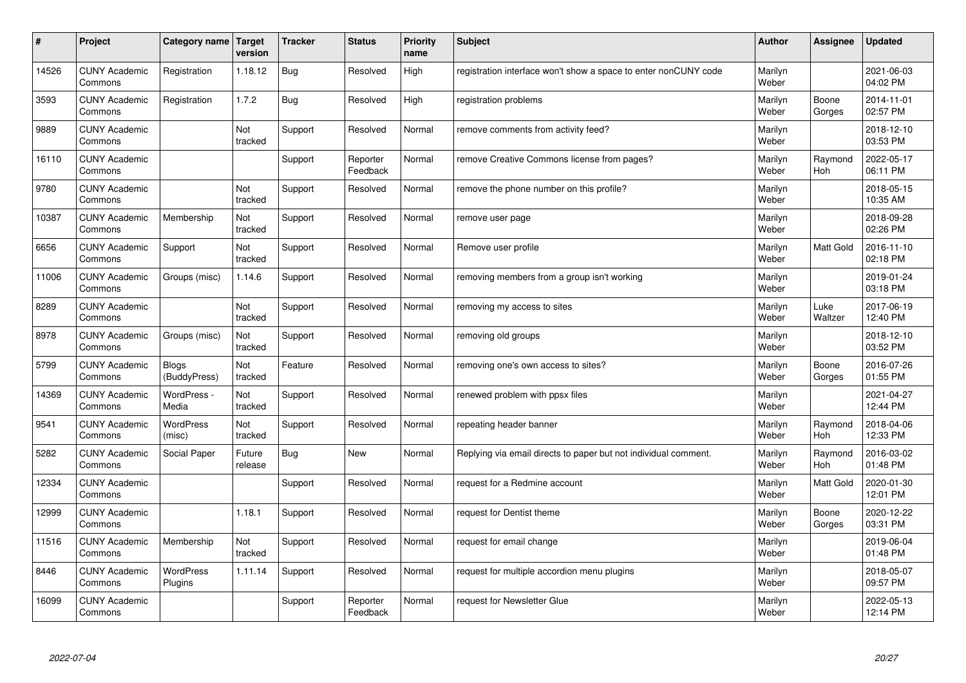| #     | Project                         | Category name   Target       | version           | <b>Tracker</b> | <b>Status</b>        | <b>Priority</b><br>name | <b>Subject</b>                                                  | <b>Author</b>    | Assignee         | Updated                |
|-------|---------------------------------|------------------------------|-------------------|----------------|----------------------|-------------------------|-----------------------------------------------------------------|------------------|------------------|------------------------|
| 14526 | <b>CUNY Academic</b><br>Commons | Registration                 | 1.18.12           | Bug            | Resolved             | High                    | registration interface won't show a space to enter nonCUNY code | Marilyn<br>Weber |                  | 2021-06-03<br>04:02 PM |
| 3593  | <b>CUNY Academic</b><br>Commons | Registration                 | 1.7.2             | Bug            | Resolved             | High                    | registration problems                                           | Marilyn<br>Weber | Boone<br>Gorges  | 2014-11-01<br>02:57 PM |
| 9889  | <b>CUNY Academic</b><br>Commons |                              | Not<br>tracked    | Support        | Resolved             | Normal                  | remove comments from activity feed?                             | Marilyn<br>Weber |                  | 2018-12-10<br>03:53 PM |
| 16110 | <b>CUNY Academic</b><br>Commons |                              |                   | Support        | Reporter<br>Feedback | Normal                  | remove Creative Commons license from pages?                     | Marilyn<br>Weber | Raymond<br>Hoh   | 2022-05-17<br>06:11 PM |
| 9780  | <b>CUNY Academic</b><br>Commons |                              | Not<br>tracked    | Support        | Resolved             | Normal                  | remove the phone number on this profile?                        | Marilyn<br>Weber |                  | 2018-05-15<br>10:35 AM |
| 10387 | <b>CUNY Academic</b><br>Commons | Membership                   | Not<br>tracked    | Support        | Resolved             | Normal                  | remove user page                                                | Marilyn<br>Weber |                  | 2018-09-28<br>02:26 PM |
| 6656  | <b>CUNY Academic</b><br>Commons | Support                      | Not<br>tracked    | Support        | Resolved             | Normal                  | Remove user profile                                             | Marilyn<br>Weber | <b>Matt Gold</b> | 2016-11-10<br>02:18 PM |
| 11006 | <b>CUNY Academic</b><br>Commons | Groups (misc)                | 1.14.6            | Support        | Resolved             | Normal                  | removing members from a group isn't working                     | Marilyn<br>Weber |                  | 2019-01-24<br>03:18 PM |
| 8289  | <b>CUNY Academic</b><br>Commons |                              | Not<br>tracked    | Support        | Resolved             | Normal                  | removing my access to sites                                     | Marilyn<br>Weber | Luke<br>Waltzer  | 2017-06-19<br>12:40 PM |
| 8978  | <b>CUNY Academic</b><br>Commons | Groups (misc)                | Not<br>tracked    | Support        | Resolved             | Normal                  | removing old groups                                             | Marilyn<br>Weber |                  | 2018-12-10<br>03:52 PM |
| 5799  | <b>CUNY Academic</b><br>Commons | <b>Blogs</b><br>(BuddyPress) | Not<br>tracked    | Feature        | Resolved             | Normal                  | removing one's own access to sites?                             | Marilyn<br>Weber | Boone<br>Gorges  | 2016-07-26<br>01:55 PM |
| 14369 | <b>CUNY Academic</b><br>Commons | WordPress -<br>Media         | Not<br>tracked    | Support        | Resolved             | Normal                  | renewed problem with ppsx files                                 | Marilyn<br>Weber |                  | 2021-04-27<br>12:44 PM |
| 9541  | <b>CUNY Academic</b><br>Commons | <b>WordPress</b><br>(misc)   | Not<br>tracked    | Support        | Resolved             | Normal                  | repeating header banner                                         | Marilyn<br>Weber | Raymond<br>Hoh   | 2018-04-06<br>12:33 PM |
| 5282  | <b>CUNY Academic</b><br>Commons | Social Paper                 | Future<br>release | Bug            | New                  | Normal                  | Replying via email directs to paper but not individual comment. | Marilyn<br>Weber | Raymond<br>Hoh   | 2016-03-02<br>01:48 PM |
| 12334 | <b>CUNY Academic</b><br>Commons |                              |                   | Support        | Resolved             | Normal                  | request for a Redmine account                                   | Marilyn<br>Weber | <b>Matt Gold</b> | 2020-01-30<br>12:01 PM |
| 12999 | <b>CUNY Academic</b><br>Commons |                              | 1.18.1            | Support        | Resolved             | Normal                  | request for Dentist theme                                       | Marilyn<br>Weber | Boone<br>Gorges  | 2020-12-22<br>03:31 PM |
| 11516 | <b>CUNY Academic</b><br>Commons | Membership                   | Not<br>tracked    | Support        | Resolved             | Normal                  | request for email change                                        | Marilyn<br>Weber |                  | 2019-06-04<br>01:48 PM |
| 8446  | <b>CUNY Academic</b><br>Commons | <b>WordPress</b><br>Plugins  | 1.11.14           | Support        | Resolved             | Normal                  | request for multiple accordion menu plugins                     | Marilyn<br>Weber |                  | 2018-05-07<br>09:57 PM |
| 16099 | <b>CUNY Academic</b><br>Commons |                              |                   | Support        | Reporter<br>Feedback | Normal                  | request for Newsletter Glue                                     | Marilyn<br>Weber |                  | 2022-05-13<br>12:14 PM |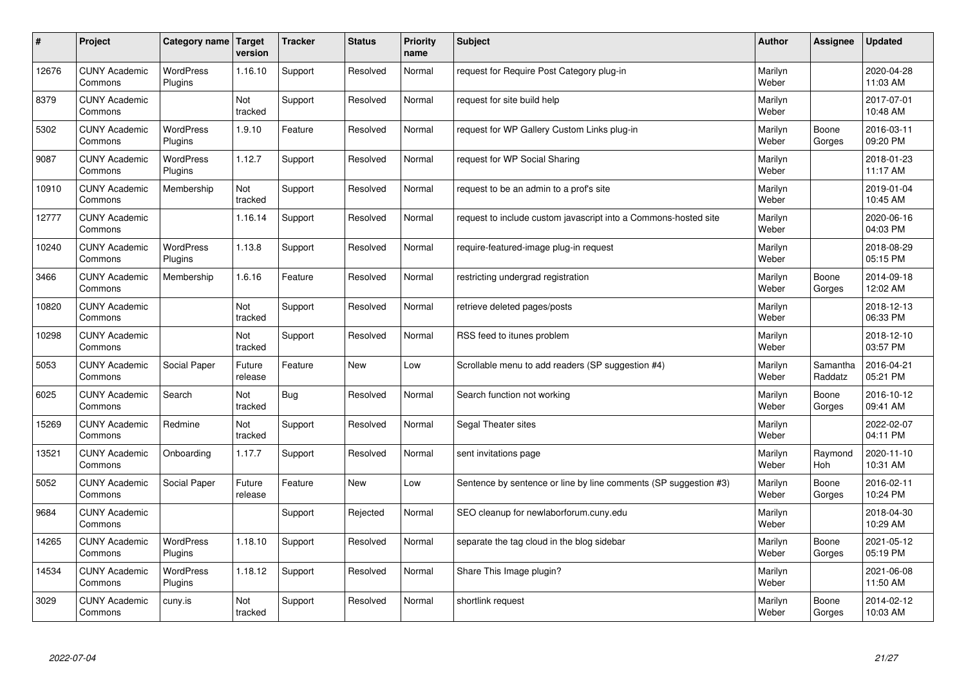| $\sharp$ | Project                         | Category name               | <b>Target</b><br>version | <b>Tracker</b> | <b>Status</b> | <b>Priority</b><br>name | <b>Subject</b>                                                   | <b>Author</b>    | Assignee              | Updated                |
|----------|---------------------------------|-----------------------------|--------------------------|----------------|---------------|-------------------------|------------------------------------------------------------------|------------------|-----------------------|------------------------|
| 12676    | <b>CUNY Academic</b><br>Commons | <b>WordPress</b><br>Plugins | 1.16.10                  | Support        | Resolved      | Normal                  | request for Require Post Category plug-in                        | Marilyn<br>Weber |                       | 2020-04-28<br>11:03 AM |
| 8379     | <b>CUNY Academic</b><br>Commons |                             | Not<br>tracked           | Support        | Resolved      | Normal                  | request for site build help                                      | Marilyn<br>Weber |                       | 2017-07-01<br>10:48 AM |
| 5302     | <b>CUNY Academic</b><br>Commons | <b>WordPress</b><br>Plugins | 1.9.10                   | Feature        | Resolved      | Normal                  | request for WP Gallery Custom Links plug-in                      | Marilyn<br>Weber | Boone<br>Gorges       | 2016-03-11<br>09:20 PM |
| 9087     | <b>CUNY Academic</b><br>Commons | <b>WordPress</b><br>Plugins | 1.12.7                   | Support        | Resolved      | Normal                  | request for WP Social Sharing                                    | Marilyn<br>Weber |                       | 2018-01-23<br>11:17 AM |
| 10910    | <b>CUNY Academic</b><br>Commons | Membership                  | Not<br>tracked           | Support        | Resolved      | Normal                  | request to be an admin to a prof's site                          | Marilyn<br>Weber |                       | 2019-01-04<br>10:45 AM |
| 12777    | <b>CUNY Academic</b><br>Commons |                             | 1.16.14                  | Support        | Resolved      | Normal                  | request to include custom javascript into a Commons-hosted site  | Marilyn<br>Weber |                       | 2020-06-16<br>04:03 PM |
| 10240    | <b>CUNY Academic</b><br>Commons | <b>WordPress</b><br>Plugins | 1.13.8                   | Support        | Resolved      | Normal                  | require-featured-image plug-in request                           | Marilyn<br>Weber |                       | 2018-08-29<br>05:15 PM |
| 3466     | <b>CUNY Academic</b><br>Commons | Membership                  | 1.6.16                   | Feature        | Resolved      | Normal                  | restricting undergrad registration                               | Marilyn<br>Weber | Boone<br>Gorges       | 2014-09-18<br>12:02 AM |
| 10820    | <b>CUNY Academic</b><br>Commons |                             | Not<br>tracked           | Support        | Resolved      | Normal                  | retrieve deleted pages/posts                                     | Marilyn<br>Weber |                       | 2018-12-13<br>06:33 PM |
| 10298    | <b>CUNY Academic</b><br>Commons |                             | Not<br>tracked           | Support        | Resolved      | Normal                  | RSS feed to itunes problem                                       | Marilyn<br>Weber |                       | 2018-12-10<br>03:57 PM |
| 5053     | <b>CUNY Academic</b><br>Commons | Social Paper                | Future<br>release        | Feature        | New           | Low                     | Scrollable menu to add readers (SP suggestion #4)                | Marilyn<br>Weber | Samantha<br>Raddatz   | 2016-04-21<br>05:21 PM |
| 6025     | <b>CUNY Academic</b><br>Commons | Search                      | Not<br>tracked           | Bug            | Resolved      | Normal                  | Search function not working                                      | Marilyn<br>Weber | Boone<br>Gorges       | 2016-10-12<br>09:41 AM |
| 15269    | <b>CUNY Academic</b><br>Commons | Redmine                     | Not<br>tracked           | Support        | Resolved      | Normal                  | Segal Theater sites                                              | Marilyn<br>Weber |                       | 2022-02-07<br>04:11 PM |
| 13521    | <b>CUNY Academic</b><br>Commons | Onboarding                  | 1.17.7                   | Support        | Resolved      | Normal                  | sent invitations page                                            | Marilyn<br>Weber | Raymond<br><b>Hoh</b> | 2020-11-10<br>10:31 AM |
| 5052     | <b>CUNY Academic</b><br>Commons | Social Paper                | Future<br>release        | Feature        | <b>New</b>    | Low                     | Sentence by sentence or line by line comments (SP suggestion #3) | Marilyn<br>Weber | Boone<br>Gorges       | 2016-02-11<br>10:24 PM |
| 9684     | <b>CUNY Academic</b><br>Commons |                             |                          | Support        | Rejected      | Normal                  | SEO cleanup for newlaborforum.cuny.edu                           | Marilyn<br>Weber |                       | 2018-04-30<br>10:29 AM |
| 14265    | <b>CUNY Academic</b><br>Commons | WordPress<br>Plugins        | 1.18.10                  | Support        | Resolved      | Normal                  | separate the tag cloud in the blog sidebar                       | Marilyn<br>Weber | Boone<br>Gorges       | 2021-05-12<br>05:19 PM |
| 14534    | <b>CUNY Academic</b><br>Commons | <b>WordPress</b><br>Plugins | 1.18.12                  | Support        | Resolved      | Normal                  | Share This Image plugin?                                         | Marilyn<br>Weber |                       | 2021-06-08<br>11:50 AM |
| 3029     | <b>CUNY Academic</b><br>Commons | cuny.is                     | Not<br>tracked           | Support        | Resolved      | Normal                  | shortlink request                                                | Marilyn<br>Weber | Boone<br>Gorges       | 2014-02-12<br>10:03 AM |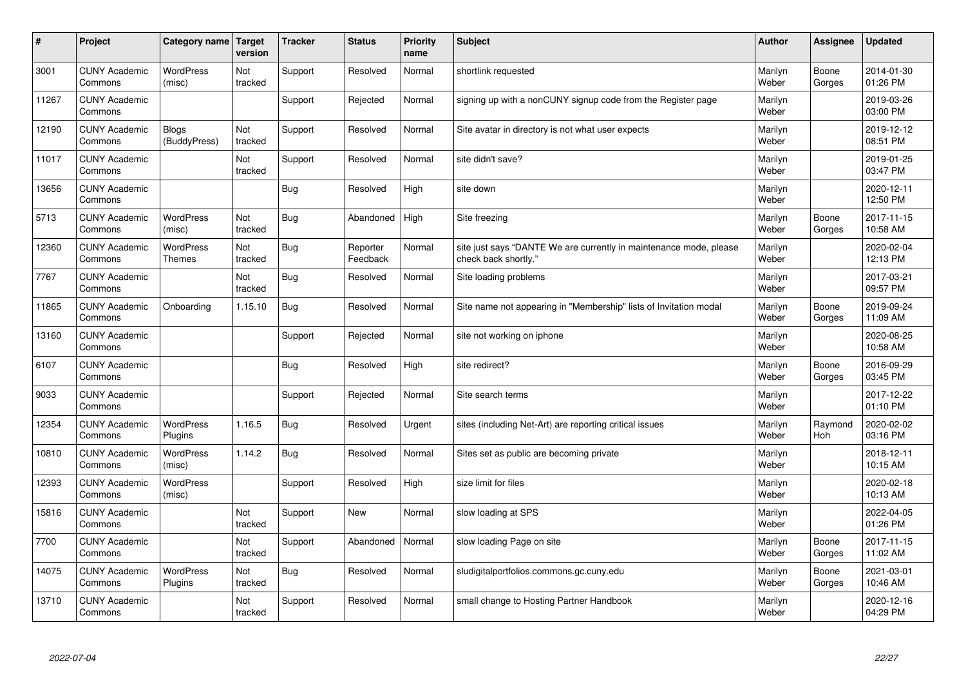| #     | Project                         | Category name   Target            | version        | <b>Tracker</b> | <b>Status</b>        | <b>Priority</b><br>name | <b>Subject</b>                                                                             | <b>Author</b>    | Assignee        | <b>Updated</b>         |
|-------|---------------------------------|-----------------------------------|----------------|----------------|----------------------|-------------------------|--------------------------------------------------------------------------------------------|------------------|-----------------|------------------------|
| 3001  | <b>CUNY Academic</b><br>Commons | <b>WordPress</b><br>(misc)        | Not<br>tracked | Support        | Resolved             | Normal                  | shortlink requested                                                                        | Marilyn<br>Weber | Boone<br>Gorges | 2014-01-30<br>01:26 PM |
| 11267 | <b>CUNY Academic</b><br>Commons |                                   |                | Support        | Rejected             | Normal                  | signing up with a nonCUNY signup code from the Register page                               | Marilyn<br>Weber |                 | 2019-03-26<br>03:00 PM |
| 12190 | <b>CUNY Academic</b><br>Commons | <b>Blogs</b><br>(BuddyPress)      | Not<br>tracked | Support        | Resolved             | Normal                  | Site avatar in directory is not what user expects                                          | Marilyn<br>Weber |                 | 2019-12-12<br>08:51 PM |
| 11017 | <b>CUNY Academic</b><br>Commons |                                   | Not<br>tracked | Support        | Resolved             | Normal                  | site didn't save?                                                                          | Marilyn<br>Weber |                 | 2019-01-25<br>03:47 PM |
| 13656 | <b>CUNY Academic</b><br>Commons |                                   |                | <b>Bug</b>     | Resolved             | High                    | site down                                                                                  | Marilyn<br>Weber |                 | 2020-12-11<br>12:50 PM |
| 5713  | <b>CUNY Academic</b><br>Commons | <b>WordPress</b><br>(misc)        | Not<br>tracked | <b>Bug</b>     | Abandoned            | High                    | Site freezing                                                                              | Marilyn<br>Weber | Boone<br>Gorges | 2017-11-15<br>10:58 AM |
| 12360 | <b>CUNY Academic</b><br>Commons | <b>WordPress</b><br><b>Themes</b> | Not<br>tracked | <b>Bug</b>     | Reporter<br>Feedback | Normal                  | site just says "DANTE We are currently in maintenance mode, please<br>check back shortly." | Marilyn<br>Weber |                 | 2020-02-04<br>12:13 PM |
| 7767  | <b>CUNY Academic</b><br>Commons |                                   | Not<br>tracked | <b>Bug</b>     | Resolved             | Normal                  | Site loading problems                                                                      | Marilyn<br>Weber |                 | 2017-03-21<br>09:57 PM |
| 11865 | <b>CUNY Academic</b><br>Commons | Onboarding                        | 1.15.10        | Bug            | Resolved             | Normal                  | Site name not appearing in "Membership" lists of Invitation modal                          | Marilyn<br>Weber | Boone<br>Gorges | 2019-09-24<br>11:09 AM |
| 13160 | <b>CUNY Academic</b><br>Commons |                                   |                | Support        | Rejected             | Normal                  | site not working on iphone                                                                 | Marilyn<br>Weber |                 | 2020-08-25<br>10:58 AM |
| 6107  | <b>CUNY Academic</b><br>Commons |                                   |                | Bug            | Resolved             | High                    | site redirect?                                                                             | Marilyn<br>Weber | Boone<br>Gorges | 2016-09-29<br>03:45 PM |
| 9033  | <b>CUNY Academic</b><br>Commons |                                   |                | Support        | Rejected             | Normal                  | Site search terms                                                                          | Marilyn<br>Weber |                 | 2017-12-22<br>01:10 PM |
| 12354 | <b>CUNY Academic</b><br>Commons | <b>WordPress</b><br>Plugins       | 1.16.5         | Bug            | Resolved             | Urgent                  | sites (including Net-Art) are reporting critical issues                                    | Marilyn<br>Weber | Raymond<br>Hoh  | 2020-02-02<br>03:16 PM |
| 10810 | <b>CUNY Academic</b><br>Commons | <b>WordPress</b><br>(misc)        | 1.14.2         | <b>Bug</b>     | Resolved             | Normal                  | Sites set as public are becoming private                                                   | Marilyn<br>Weber |                 | 2018-12-11<br>10:15 AM |
| 12393 | <b>CUNY Academic</b><br>Commons | WordPress<br>(misc)               |                | Support        | Resolved             | High                    | size limit for files                                                                       | Marilyn<br>Weber |                 | 2020-02-18<br>10:13 AM |
| 15816 | <b>CUNY Academic</b><br>Commons |                                   | Not<br>tracked | Support        | <b>New</b>           | Normal                  | slow loading at SPS                                                                        | Marilyn<br>Weber |                 | 2022-04-05<br>01:26 PM |
| 7700  | <b>CUNY Academic</b><br>Commons |                                   | Not<br>tracked | Support        | Abandoned            | Normal                  | slow loading Page on site                                                                  | Marilyn<br>Weber | Boone<br>Gorges | 2017-11-15<br>11:02 AM |
| 14075 | <b>CUNY Academic</b><br>Commons | <b>WordPress</b><br>Plugins       | Not<br>tracked | <b>Bug</b>     | Resolved             | Normal                  | sludigitalportfolios.commons.gc.cuny.edu                                                   | Marilyn<br>Weber | Boone<br>Gorges | 2021-03-01<br>10:46 AM |
| 13710 | <b>CUNY Academic</b><br>Commons |                                   | Not<br>tracked | Support        | Resolved             | Normal                  | small change to Hosting Partner Handbook                                                   | Marilyn<br>Weber |                 | 2020-12-16<br>04:29 PM |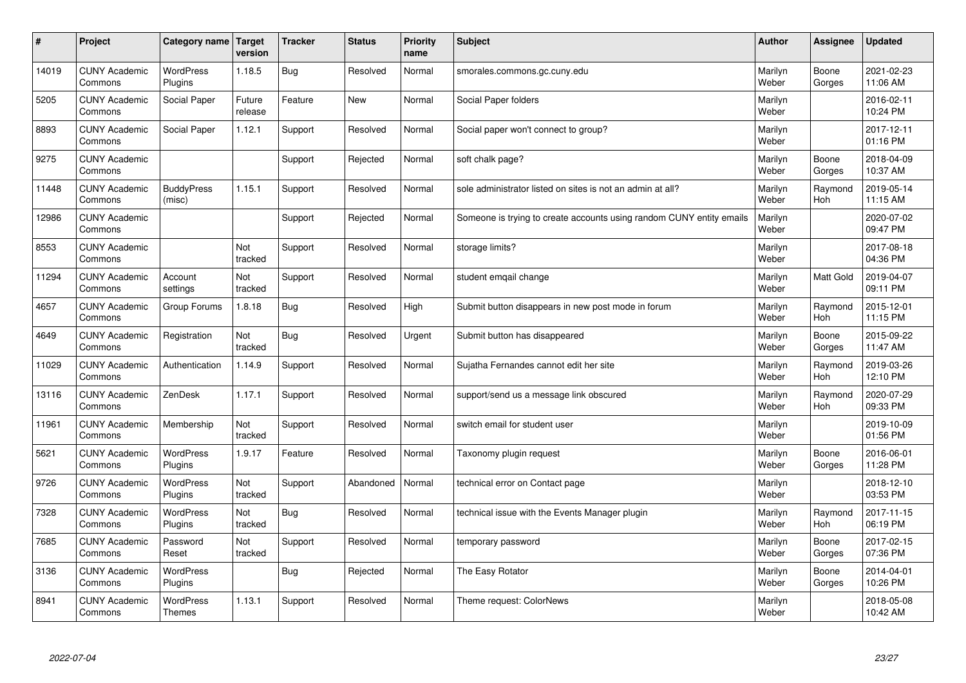| $\sharp$ | Project                         | Category name               | Target<br>version | <b>Tracker</b> | <b>Status</b> | <b>Priority</b><br>name | <b>Subject</b>                                                       | <b>Author</b>    | Assignee              | Updated                |
|----------|---------------------------------|-----------------------------|-------------------|----------------|---------------|-------------------------|----------------------------------------------------------------------|------------------|-----------------------|------------------------|
| 14019    | <b>CUNY Academic</b><br>Commons | <b>WordPress</b><br>Plugins | 1.18.5            | Bug            | Resolved      | Normal                  | smorales.commons.gc.cuny.edu                                         | Marilyn<br>Weber | Boone<br>Gorges       | 2021-02-23<br>11:06 AM |
| 5205     | <b>CUNY Academic</b><br>Commons | Social Paper                | Future<br>release | Feature        | New           | Normal                  | Social Paper folders                                                 | Marilyn<br>Weber |                       | 2016-02-11<br>10:24 PM |
| 8893     | <b>CUNY Academic</b><br>Commons | Social Paper                | 1.12.1            | Support        | Resolved      | Normal                  | Social paper won't connect to group?                                 | Marilyn<br>Weber |                       | 2017-12-11<br>01:16 PM |
| 9275     | <b>CUNY Academic</b><br>Commons |                             |                   | Support        | Rejected      | Normal                  | soft chalk page?                                                     | Marilyn<br>Weber | Boone<br>Gorges       | 2018-04-09<br>10:37 AM |
| 11448    | <b>CUNY Academic</b><br>Commons | <b>BuddyPress</b><br>(misc) | 1.15.1            | Support        | Resolved      | Normal                  | sole administrator listed on sites is not an admin at all?           | Marilyn<br>Weber | Raymond<br><b>Hoh</b> | 2019-05-14<br>11:15 AM |
| 12986    | <b>CUNY Academic</b><br>Commons |                             |                   | Support        | Rejected      | Normal                  | Someone is trying to create accounts using random CUNY entity emails | Marilyn<br>Weber |                       | 2020-07-02<br>09:47 PM |
| 8553     | <b>CUNY Academic</b><br>Commons |                             | Not<br>tracked    | Support        | Resolved      | Normal                  | storage limits?                                                      | Marilyn<br>Weber |                       | 2017-08-18<br>04:36 PM |
| 11294    | <b>CUNY Academic</b><br>Commons | Account<br>settings         | Not<br>tracked    | Support        | Resolved      | Normal                  | student emgail change                                                | Marilyn<br>Weber | Matt Gold             | 2019-04-07<br>09:11 PM |
| 4657     | <b>CUNY Academic</b><br>Commons | Group Forums                | 1.8.18            | <b>Bug</b>     | Resolved      | High                    | Submit button disappears in new post mode in forum                   | Marilyn<br>Weber | Raymond<br>Hoh        | 2015-12-01<br>11:15 PM |
| 4649     | <b>CUNY Academic</b><br>Commons | Registration                | Not<br>tracked    | Bug            | Resolved      | Urgent                  | Submit button has disappeared                                        | Marilyn<br>Weber | Boone<br>Gorges       | 2015-09-22<br>11:47 AM |
| 11029    | <b>CUNY Academic</b><br>Commons | Authentication              | 1.14.9            | Support        | Resolved      | Normal                  | Sujatha Fernandes cannot edit her site                               | Marilyn<br>Weber | Raymond<br><b>Hoh</b> | 2019-03-26<br>12:10 PM |
| 13116    | <b>CUNY Academic</b><br>Commons | ZenDesk                     | 1.17.1            | Support        | Resolved      | Normal                  | support/send us a message link obscured                              | Marilyn<br>Weber | Raymond<br>Hoh        | 2020-07-29<br>09:33 PM |
| 11961    | <b>CUNY Academic</b><br>Commons | Membership                  | Not<br>tracked    | Support        | Resolved      | Normal                  | switch email for student user                                        | Marilyn<br>Weber |                       | 2019-10-09<br>01:56 PM |
| 5621     | <b>CUNY Academic</b><br>Commons | <b>WordPress</b><br>Plugins | 1.9.17            | Feature        | Resolved      | Normal                  | Taxonomy plugin request                                              | Marilyn<br>Weber | Boone<br>Gorges       | 2016-06-01<br>11:28 PM |
| 9726     | <b>CUNY Academic</b><br>Commons | WordPress<br>Plugins        | Not<br>tracked    | Support        | Abandoned     | Normal                  | technical error on Contact page                                      | Marilyn<br>Weber |                       | 2018-12-10<br>03:53 PM |
| 7328     | <b>CUNY Academic</b><br>Commons | <b>WordPress</b><br>Plugins | Not<br>tracked    | Bug            | Resolved      | Normal                  | technical issue with the Events Manager plugin                       | Marilyn<br>Weber | Raymond<br>Hoh        | 2017-11-15<br>06:19 PM |
| 7685     | <b>CUNY Academic</b><br>Commons | Password<br>Reset           | Not<br>tracked    | Support        | Resolved      | Normal                  | temporary password                                                   | Marilyn<br>Weber | Boone<br>Gorges       | 2017-02-15<br>07:36 PM |
| 3136     | <b>CUNY Academic</b><br>Commons | WordPress<br>Plugins        |                   | <b>Bug</b>     | Rejected      | Normal                  | The Easy Rotator                                                     | Marilyn<br>Weber | Boone<br>Gorges       | 2014-04-01<br>10:26 PM |
| 8941     | <b>CUNY Academic</b><br>Commons | WordPress<br><b>Themes</b>  | 1.13.1            | Support        | Resolved      | Normal                  | Theme request: ColorNews                                             | Marilyn<br>Weber |                       | 2018-05-08<br>10:42 AM |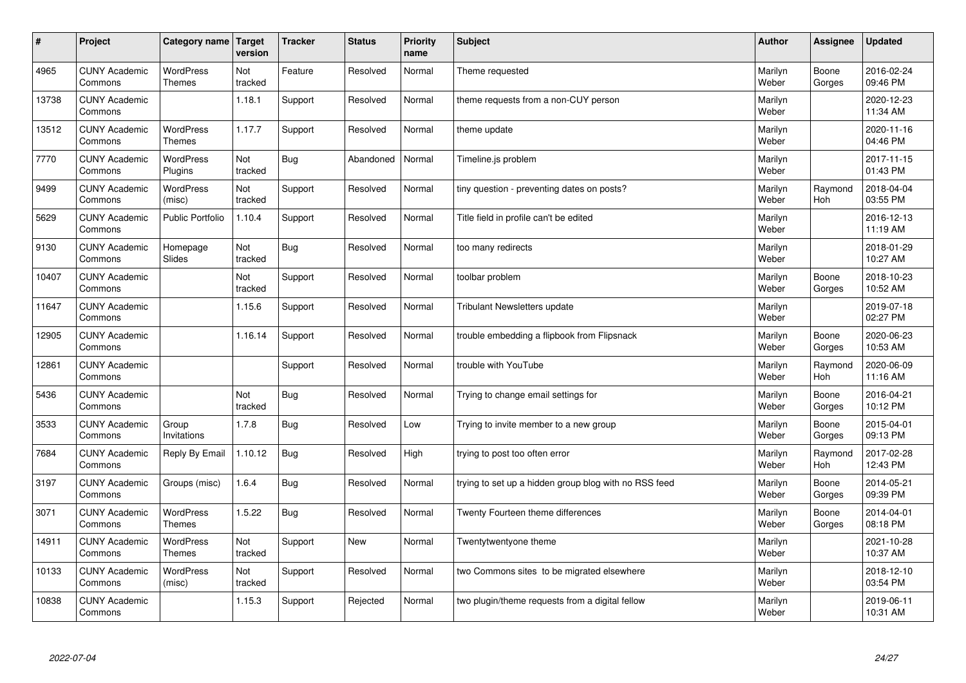| #     | Project                         | Category name                     | Target<br>version | <b>Tracker</b> | <b>Status</b> | <b>Priority</b><br>name | <b>Subject</b>                                        | <b>Author</b>    | Assignee              | <b>Updated</b>         |
|-------|---------------------------------|-----------------------------------|-------------------|----------------|---------------|-------------------------|-------------------------------------------------------|------------------|-----------------------|------------------------|
| 4965  | <b>CUNY Academic</b><br>Commons | <b>WordPress</b><br><b>Themes</b> | Not<br>tracked    | Feature        | Resolved      | Normal                  | Theme requested                                       | Marilyn<br>Weber | Boone<br>Gorges       | 2016-02-24<br>09:46 PM |
| 13738 | <b>CUNY Academic</b><br>Commons |                                   | 1.18.1            | Support        | Resolved      | Normal                  | theme requests from a non-CUY person                  | Marilyn<br>Weber |                       | 2020-12-23<br>11:34 AM |
| 13512 | <b>CUNY Academic</b><br>Commons | <b>WordPress</b><br><b>Themes</b> | 1.17.7            | Support        | Resolved      | Normal                  | theme update                                          | Marilyn<br>Weber |                       | 2020-11-16<br>04:46 PM |
| 7770  | <b>CUNY Academic</b><br>Commons | <b>WordPress</b><br>Plugins       | Not<br>tracked    | Bug            | Abandoned     | Normal                  | Timeline.js problem                                   | Marilyn<br>Weber |                       | 2017-11-15<br>01:43 PM |
| 9499  | <b>CUNY Academic</b><br>Commons | <b>WordPress</b><br>(misc)        | Not<br>tracked    | Support        | Resolved      | Normal                  | tiny question - preventing dates on posts?            | Marilyn<br>Weber | Raymond<br>Hoh        | 2018-04-04<br>03:55 PM |
| 5629  | <b>CUNY Academic</b><br>Commons | <b>Public Portfolio</b>           | 1.10.4            | Support        | Resolved      | Normal                  | Title field in profile can't be edited                | Marilyn<br>Weber |                       | 2016-12-13<br>11:19 AM |
| 9130  | <b>CUNY Academic</b><br>Commons | Homepage<br>Slides                | Not<br>tracked    | Bug            | Resolved      | Normal                  | too many redirects                                    | Marilyn<br>Weber |                       | 2018-01-29<br>10:27 AM |
| 10407 | <b>CUNY Academic</b><br>Commons |                                   | Not<br>tracked    | Support        | Resolved      | Normal                  | toolbar problem                                       | Marilyn<br>Weber | Boone<br>Gorges       | 2018-10-23<br>10:52 AM |
| 11647 | <b>CUNY Academic</b><br>Commons |                                   | 1.15.6            | Support        | Resolved      | Normal                  | <b>Tribulant Newsletters update</b>                   | Marilyn<br>Weber |                       | 2019-07-18<br>02:27 PM |
| 12905 | <b>CUNY Academic</b><br>Commons |                                   | 1.16.14           | Support        | Resolved      | Normal                  | trouble embedding a flipbook from Flipsnack           | Marilyn<br>Weber | Boone<br>Gorges       | 2020-06-23<br>10:53 AM |
| 12861 | <b>CUNY Academic</b><br>Commons |                                   |                   | Support        | Resolved      | Normal                  | trouble with YouTube                                  | Marilyn<br>Weber | Raymond<br>Hoh        | 2020-06-09<br>11:16 AM |
| 5436  | <b>CUNY Academic</b><br>Commons |                                   | Not<br>tracked    | Bug            | Resolved      | Normal                  | Trying to change email settings for                   | Marilyn<br>Weber | Boone<br>Gorges       | 2016-04-21<br>10:12 PM |
| 3533  | <b>CUNY Academic</b><br>Commons | Group<br>Invitations              | 1.7.8             | Bug            | Resolved      | Low                     | Trying to invite member to a new group                | Marilyn<br>Weber | Boone<br>Gorges       | 2015-04-01<br>09:13 PM |
| 7684  | <b>CUNY Academic</b><br>Commons | Reply By Email                    | 1.10.12           | Bug            | Resolved      | High                    | trying to post too often error                        | Marilyn<br>Weber | Raymond<br><b>Hoh</b> | 2017-02-28<br>12:43 PM |
| 3197  | <b>CUNY Academic</b><br>Commons | Groups (misc)                     | 1.6.4             | <b>Bug</b>     | Resolved      | Normal                  | trying to set up a hidden group blog with no RSS feed | Marilyn<br>Weber | Boone<br>Gorges       | 2014-05-21<br>09:39 PM |
| 3071  | <b>CUNY Academic</b><br>Commons | <b>WordPress</b><br><b>Themes</b> | 1.5.22            | Bug            | Resolved      | Normal                  | Twenty Fourteen theme differences                     | Marilyn<br>Weber | Boone<br>Gorges       | 2014-04-01<br>08:18 PM |
| 14911 | <b>CUNY Academic</b><br>Commons | WordPress<br>Themes               | Not<br>tracked    | Support        | <b>New</b>    | Normal                  | Twentytwentyone theme                                 | Marilyn<br>Weber |                       | 2021-10-28<br>10:37 AM |
| 10133 | <b>CUNY Academic</b><br>Commons | WordPress<br>(misc)               | Not<br>tracked    | Support        | Resolved      | Normal                  | two Commons sites to be migrated elsewhere            | Marilyn<br>Weber |                       | 2018-12-10<br>03:54 PM |
| 10838 | <b>CUNY Academic</b><br>Commons |                                   | 1.15.3            | Support        | Rejected      | Normal                  | two plugin/theme requests from a digital fellow       | Marilyn<br>Weber |                       | 2019-06-11<br>10:31 AM |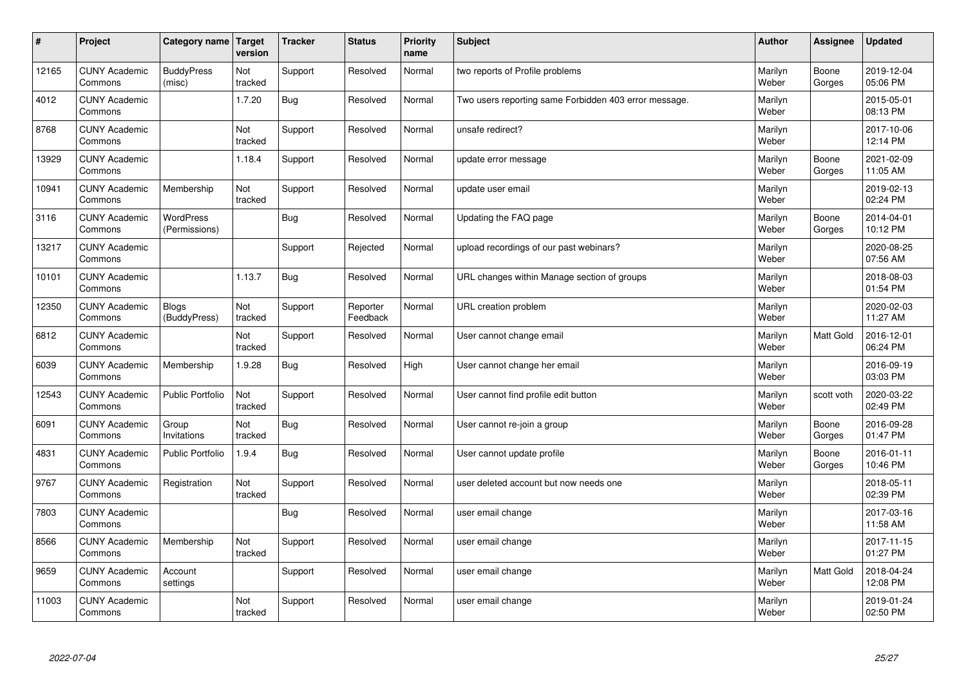| #     | Project                         | Category name   Target            | version        | <b>Tracker</b> | <b>Status</b>        | <b>Priority</b><br>name | <b>Subject</b>                                        | <b>Author</b>    | <b>Assignee</b>  | <b>Updated</b>         |
|-------|---------------------------------|-----------------------------------|----------------|----------------|----------------------|-------------------------|-------------------------------------------------------|------------------|------------------|------------------------|
| 12165 | <b>CUNY Academic</b><br>Commons | <b>BuddyPress</b><br>(misc)       | Not<br>tracked | Support        | Resolved             | Normal                  | two reports of Profile problems                       | Marilyn<br>Weber | Boone<br>Gorges  | 2019-12-04<br>05:06 PM |
| 4012  | <b>CUNY Academic</b><br>Commons |                                   | 1.7.20         | Bug            | Resolved             | Normal                  | Two users reporting same Forbidden 403 error message. | Marilyn<br>Weber |                  | 2015-05-01<br>08:13 PM |
| 8768  | <b>CUNY Academic</b><br>Commons |                                   | Not<br>tracked | Support        | Resolved             | Normal                  | unsafe redirect?                                      | Marilyn<br>Weber |                  | 2017-10-06<br>12:14 PM |
| 13929 | <b>CUNY Academic</b><br>Commons |                                   | 1.18.4         | Support        | Resolved             | Normal                  | update error message                                  | Marilyn<br>Weber | Boone<br>Gorges  | 2021-02-09<br>11:05 AM |
| 10941 | <b>CUNY Academic</b><br>Commons | Membership                        | Not<br>tracked | Support        | Resolved             | Normal                  | update user email                                     | Marilyn<br>Weber |                  | 2019-02-13<br>02:24 PM |
| 3116  | <b>CUNY Academic</b><br>Commons | <b>WordPress</b><br>(Permissions) |                | Bug            | Resolved             | Normal                  | Updating the FAQ page                                 | Marilyn<br>Weber | Boone<br>Gorges  | 2014-04-01<br>10:12 PM |
| 13217 | <b>CUNY Academic</b><br>Commons |                                   |                | Support        | Rejected             | Normal                  | upload recordings of our past webinars?               | Marilyn<br>Weber |                  | 2020-08-25<br>07:56 AM |
| 10101 | <b>CUNY Academic</b><br>Commons |                                   | 1.13.7         | <b>Bug</b>     | Resolved             | Normal                  | URL changes within Manage section of groups           | Marilyn<br>Weber |                  | 2018-08-03<br>01:54 PM |
| 12350 | <b>CUNY Academic</b><br>Commons | <b>Blogs</b><br>(BuddyPress)      | Not<br>tracked | Support        | Reporter<br>Feedback | Normal                  | URL creation problem                                  | Marilyn<br>Weber |                  | 2020-02-03<br>11:27 AM |
| 6812  | <b>CUNY Academic</b><br>Commons |                                   | Not<br>tracked | Support        | Resolved             | Normal                  | User cannot change email                              | Marilyn<br>Weber | Matt Gold        | 2016-12-01<br>06:24 PM |
| 6039  | <b>CUNY Academic</b><br>Commons | Membership                        | 1.9.28         | Bug            | Resolved             | High                    | User cannot change her email                          | Marilyn<br>Weber |                  | 2016-09-19<br>03:03 PM |
| 12543 | <b>CUNY Academic</b><br>Commons | <b>Public Portfolio</b>           | Not<br>tracked | Support        | Resolved             | Normal                  | User cannot find profile edit button                  | Marilyn<br>Weber | scott voth       | 2020-03-22<br>02:49 PM |
| 6091  | <b>CUNY Academic</b><br>Commons | Group<br>Invitations              | Not<br>tracked | Bug            | Resolved             | Normal                  | User cannot re-join a group                           | Marilyn<br>Weber | Boone<br>Gorges  | 2016-09-28<br>01:47 PM |
| 4831  | <b>CUNY Academic</b><br>Commons | Public Portfolio                  | 1.9.4          | <b>Bug</b>     | Resolved             | Normal                  | User cannot update profile                            | Marilyn<br>Weber | Boone<br>Gorges  | 2016-01-11<br>10:46 PM |
| 9767  | <b>CUNY Academic</b><br>Commons | Registration                      | Not<br>tracked | Support        | Resolved             | Normal                  | user deleted account but now needs one                | Marilyn<br>Weber |                  | 2018-05-11<br>02:39 PM |
| 7803  | <b>CUNY Academic</b><br>Commons |                                   |                | Bug            | Resolved             | Normal                  | user email change                                     | Marilyn<br>Weber |                  | 2017-03-16<br>11:58 AM |
| 8566  | <b>CUNY Academic</b><br>Commons | Membership                        | Not<br>tracked | Support        | Resolved             | Normal                  | user email change                                     | Marilyn<br>Weber |                  | 2017-11-15<br>01:27 PM |
| 9659  | <b>CUNY Academic</b><br>Commons | Account<br>settings               |                | Support        | Resolved             | Normal                  | user email change                                     | Marilyn<br>Weber | <b>Matt Gold</b> | 2018-04-24<br>12:08 PM |
| 11003 | <b>CUNY Academic</b><br>Commons |                                   | Not<br>tracked | Support        | Resolved             | Normal                  | user email change                                     | Marilyn<br>Weber |                  | 2019-01-24<br>02:50 PM |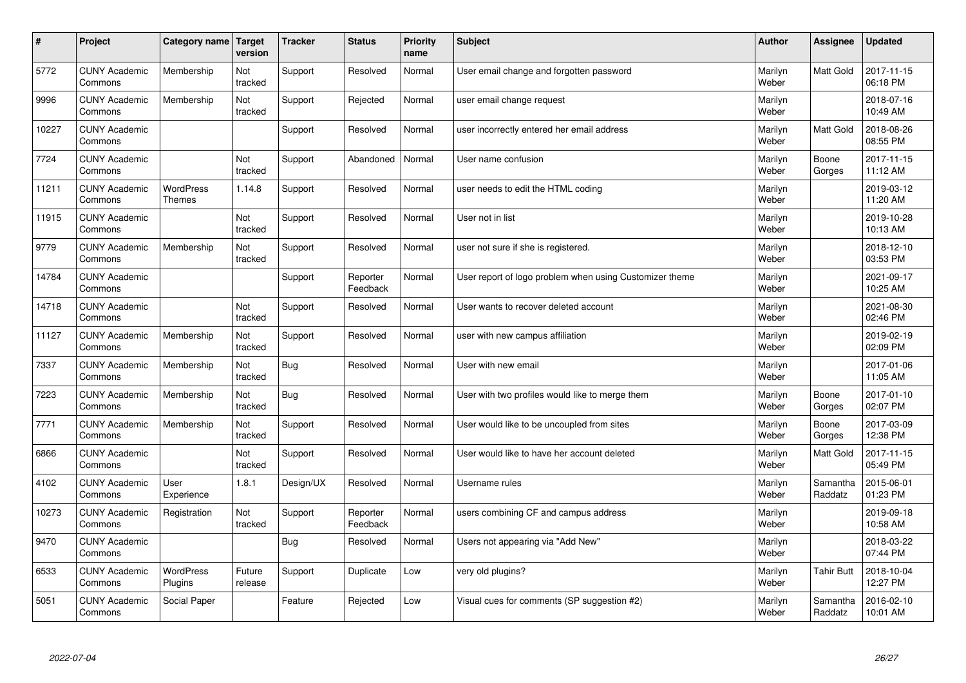| $\sharp$ | Project                         | Category name   Target      | version           | <b>Tracker</b> | <b>Status</b>        | <b>Priority</b><br>name | <b>Subject</b>                                          | <b>Author</b>    | Assignee            | <b>Updated</b>         |
|----------|---------------------------------|-----------------------------|-------------------|----------------|----------------------|-------------------------|---------------------------------------------------------|------------------|---------------------|------------------------|
| 5772     | <b>CUNY Academic</b><br>Commons | Membership                  | Not<br>tracked    | Support        | Resolved             | Normal                  | User email change and forgotten password                | Marilyn<br>Weber | <b>Matt Gold</b>    | 2017-11-15<br>06:18 PM |
| 9996     | <b>CUNY Academic</b><br>Commons | Membership                  | Not<br>tracked    | Support        | Rejected             | Normal                  | user email change request                               | Marilyn<br>Weber |                     | 2018-07-16<br>10:49 AM |
| 10227    | <b>CUNY Academic</b><br>Commons |                             |                   | Support        | Resolved             | Normal                  | user incorrectly entered her email address              | Marilyn<br>Weber | <b>Matt Gold</b>    | 2018-08-26<br>08:55 PM |
| 7724     | <b>CUNY Academic</b><br>Commons |                             | Not<br>tracked    | Support        | Abandoned            | Normal                  | User name confusion                                     | Marilyn<br>Weber | Boone<br>Gorges     | 2017-11-15<br>11:12 AM |
| 11211    | <b>CUNY Academic</b><br>Commons | <b>WordPress</b><br>Themes  | 1.14.8            | Support        | Resolved             | Normal                  | user needs to edit the HTML coding                      | Marilyn<br>Weber |                     | 2019-03-12<br>11:20 AM |
| 11915    | <b>CUNY Academic</b><br>Commons |                             | Not<br>tracked    | Support        | Resolved             | Normal                  | User not in list                                        | Marilyn<br>Weber |                     | 2019-10-28<br>10:13 AM |
| 9779     | <b>CUNY Academic</b><br>Commons | Membership                  | Not<br>tracked    | Support        | Resolved             | Normal                  | user not sure if she is registered.                     | Marilyn<br>Weber |                     | 2018-12-10<br>03:53 PM |
| 14784    | <b>CUNY Academic</b><br>Commons |                             |                   | Support        | Reporter<br>Feedback | Normal                  | User report of logo problem when using Customizer theme | Marilyn<br>Weber |                     | 2021-09-17<br>10:25 AM |
| 14718    | <b>CUNY Academic</b><br>Commons |                             | Not<br>tracked    | Support        | Resolved             | Normal                  | User wants to recover deleted account                   | Marilyn<br>Weber |                     | 2021-08-30<br>02:46 PM |
| 11127    | <b>CUNY Academic</b><br>Commons | Membership                  | Not<br>tracked    | Support        | Resolved             | Normal                  | user with new campus affiliation                        | Marilyn<br>Weber |                     | 2019-02-19<br>02:09 PM |
| 7337     | <b>CUNY Academic</b><br>Commons | Membership                  | Not<br>tracked    | Bug            | Resolved             | Normal                  | User with new email                                     | Marilyn<br>Weber |                     | 2017-01-06<br>11:05 AM |
| 7223     | <b>CUNY Academic</b><br>Commons | Membership                  | Not<br>tracked    | Bug            | Resolved             | Normal                  | User with two profiles would like to merge them         | Marilyn<br>Weber | Boone<br>Gorges     | 2017-01-10<br>02:07 PM |
| 7771     | <b>CUNY Academic</b><br>Commons | Membership                  | Not<br>tracked    | Support        | Resolved             | Normal                  | User would like to be uncoupled from sites              | Marilyn<br>Weber | Boone<br>Gorges     | 2017-03-09<br>12:38 PM |
| 6866     | <b>CUNY Academic</b><br>Commons |                             | Not<br>tracked    | Support        | Resolved             | Normal                  | User would like to have her account deleted             | Marilyn<br>Weber | Matt Gold           | 2017-11-15<br>05:49 PM |
| 4102     | <b>CUNY Academic</b><br>Commons | User<br>Experience          | 1.8.1             | Design/UX      | Resolved             | Normal                  | Username rules                                          | Marilyn<br>Weber | Samantha<br>Raddatz | 2015-06-01<br>01:23 PM |
| 10273    | <b>CUNY Academic</b><br>Commons | Registration                | Not<br>tracked    | Support        | Reporter<br>Feedback | Normal                  | users combining CF and campus address                   | Marilyn<br>Weber |                     | 2019-09-18<br>10:58 AM |
| 9470     | <b>CUNY Academic</b><br>Commons |                             |                   | Bug            | Resolved             | Normal                  | Users not appearing via "Add New"                       | Marilyn<br>Weber |                     | 2018-03-22<br>07:44 PM |
| 6533     | <b>CUNY Academic</b><br>Commons | <b>WordPress</b><br>Plugins | Future<br>release | Support        | Duplicate            | Low                     | very old plugins?                                       | Marilyn<br>Weber | <b>Tahir Butt</b>   | 2018-10-04<br>12:27 PM |
| 5051     | <b>CUNY Academic</b><br>Commons | Social Paper                |                   | Feature        | Rejected             | Low                     | Visual cues for comments (SP suggestion #2)             | Marilyn<br>Weber | Samantha<br>Raddatz | 2016-02-10<br>10:01 AM |